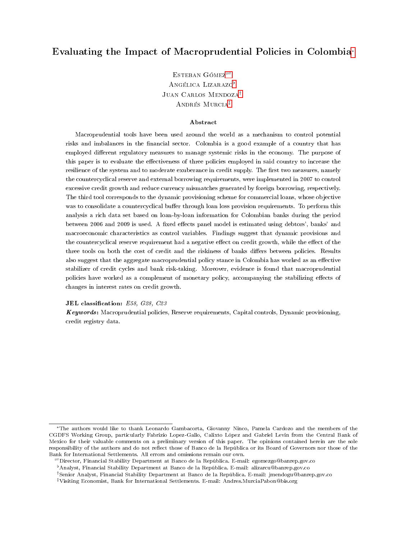## <span id="page-0-0"></span>Evaluating the Impact of Macroprudential Policies in Colombia<sup>∗</sup>

ESTEBAN GÓMEZ<sup> $=$ </sup> ANGÉLICA LIZARAZO<sup>b</sup> Juan Carlos Mendoza† Andrés Murcia‡

#### Abstract

Macroprudential tools have been used around the world as a mechanism to control potential risks and imbalances in the financial sector. Colombia is a good example of a country that has employed different regulatory measures to manage systemic risks in the economy. The purpose of this paper is to evaluate the effectiveness of three policies employed in said country to increase the resilience of the system and to moderate exuberance in credit supply. The first two measures, namely the countercyclical reserve and external borrowing requirements, were implemented in 2007 to control excessive credit growth and reduce currency mismatches generated by foreign borrowing, respectively. The third tool corresponds to the dynamic provisioning scheme for commercial loans, whose objective was to consolidate a countercyclical buffer through loan loss provision requirements. To perform this analysis a rich data set based on loan-by-loan information for Colombian banks during the period between 2006 and 2009 is used. A fixed effects panel model is estimated using debtors', banks' and macroeconomic characteristics as control variables. Findings suggest that dynamic provisions and the countercyclical reserve requirement had a negative effect on credit growth, while the effect of the three tools on both the cost of credit and the riskiness of banks differs between policies. Results also suggest that the aggregate macroprudential policy stance in Colombia has worked as an effective stabilizer of credit cycles and bank risk-taking. Moreover, evidence is found that macroprudential policies have worked as a complement of monetary policy, accompanying the stabilizing effects of changes in interest rates on credit growth.

JEL classification: E58, G28, C23

Keywords: Macroprudential policies, Reserve requirements, Capital controls, Dynamic provisioning, credit registry data.

<sup>∗</sup>The authors would like to thank Leonardo Gambacorta, Giovanny Ninco, Pamela Cardozo and the members of the CGDFS Working Group, particularly Fabrizio Lopez-Gallo, Calixto López and Gabriel Levin from the Central Bank of Mexico for their valuable comments on a preliminary version of this paper. The opinions contained herein are the sole responsibility of the authors and do not reflect those of Banco de la República or its Board of Governors nor those of the Bank for International Settlements. All errors and omissions remain our own.

Director, Financial Stability Department at Banco de la República. E-mail: egomezgo@banrep.gov.co

<sup>[</sup>Analyst, Financial Stability Department at Banco de la República. E-mail: alizarcu@banrep.gov.co

<sup>†</sup>Senior Analyst, Financial Stability Department at Banco de la República. E-mail: jmendogu@banrep.gov.co

<sup>‡</sup>Visiting Economist, Bank for International Settlements. E-mail: Andres.MurciaPabon@bis.org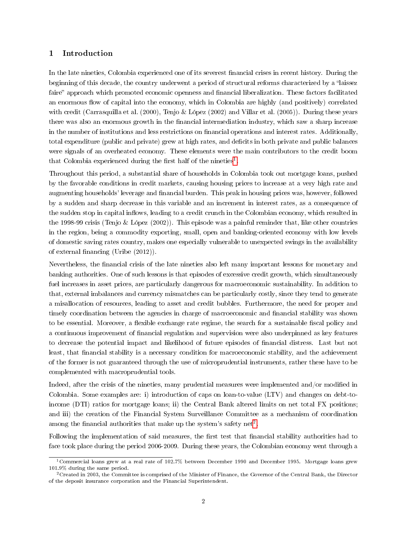### 1 Introduction

In the late nineties, Colombia experienced one of its severest financial crises in recent history. During the beginning of this decade, the country underwent a period of structural reforms characterized by a "laissez faire" approach which promoted economic openness and financial liberalization. These factors facilitated an enormous flow of capital into the economy, which in Colombia are highly (and positively) correlated with credit (Carrasquilla et al. (2000), Tenjo & López (2002) and Villar et al. (2005)). During these years there was also an enormous growth in the financial intermediation industry, which saw a sharp increase in the number of institutions and less restrictions on financial operations and interest rates. Additionally, total expenditure (public and private) grew at high rates, and decits in both private and public balances were signals of an overheated economy. These elements were the main contributors to the credit boom that Colombia experienced during the first half of the nineties<sup>[1](#page-0-0)</sup>.

Throughout this period, a substantial share of households in Colombia took out mortgage loans, pushed by the favorable conditions in credit markets, causing housing prices to increase at a very high rate and augmenting households' leverage and financial burden. This peak in housing prices was, however, followed by a sudden and sharp decrease in this variable and an increment in interest rates, as a consequence of the sudden stop in capital inflows, leading to a credit crunch in the Colombian economy, which resulted in the 1998-99 crisis (Tenjo & López (2002)). This episode was a painful reminder that, like other countries in the region, being a commodity exporting, small, open and banking-oriented economy with low levels of domestic saving rates country, makes one especially vulnerable to unexpected swings in the availability of external financing (Uribe  $(2012)$ ).

Nevertheless, the financial crisis of the late nineties also left many important lessons for monetary and banking authorities. One of such lessons is that episodes of excessive credit growth, which simultaneously fuel increases in asset prices, are particularly dangerous for macroeconomic sustainability. In addition to that, external imbalances and currency mismatches can be particularly costly, since they tend to generate a misallocation of resources, leading to asset and credit bubbles. Furthermore, the need for proper and timely coordination between the agencies in charge of macroeconomic and financial stability was shown to be essential. Moreover, a flexible exchange rate regime, the search for a sustainable fiscal policy and a continuous improvement of nancial regulation and supervision were also underpinned as key features to decrease the potential impact and likelihood of future episodes of nancial distress. Last but not least, that financial stability is a necessary condition for macroeconomic stability, and the achievement of the former is not guaranteed through the use of microprudential instruments, rather these have to be complemented with macroprudential tools.

Indeed, after the crisis of the nineties, many prudential measures were implemented and/or modified in Colombia. Some examples are: i) introduction of caps on loan-to-value (LTV) and changes on debt-toincome (DTI) ratios for mortgage loans; ii) the Central Bank altered limits on net total FX positions; and iii) the creation of the Financial System Surveillance Committee as a mechanism of coordination among the financial authorities that make up the system's safety net<sup>[2](#page-0-0)</sup>.

Following the implementation of said measures, the first test that financial stability authorities had to face took place during the period 2006-2009. During these years, the Colombian economy went through a

<sup>1</sup>Commercial loans grew at a real rate of 102.7% between December 1990 and December 1995. Mortgage loans grew 101.9% during the same period.

 $2C$ reated in 2003, the Committee is comprised of the Minister of Finance, the Governor of the Central Bank, the Director of the deposit insurance corporation and the Financial Superintendent.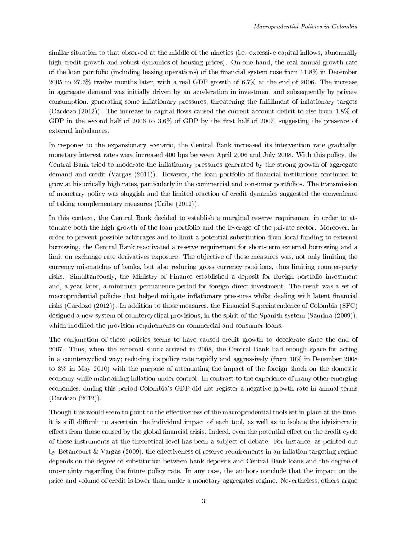similar situation to that observed at the middle of the nineties (i.e. excessive capital inflows, abnormally high credit growth and robust dynamics of housing prices). On one hand, the real annual growth rate of the loan portfolio (including leasing operations) of the nancial system rose from 11.8% in December 2005 to 27.3% twelve months later, with a real GDP growth of 6.7% at the end of 2006. The increase in aggregate demand was initially driven by an acceleration in investment and subsequently by private consumption, generating some inflationary pressures, threatening the fulfillment of inflationary targets (Cardozo (2012)). The increase in capital flows caused the current account deficit to rise from  $1.8\%$  of GDP in the second half of 2006 to 3.6% of GDP by the first half of 2007, suggesting the presence of external imbalances.

In response to the expansionary scenario, the Central Bank increased its intervention rate gradually: monetary interest rates were increased 400 bps between April 2006 and July 2008. With this policy, the Central Bank tried to moderate the inflationary pressures generated by the strong growth of aggregate demand and credit (Vargas (2011)). However, the loan portfolio of nancial institutions continued to grow at historically high rates, particularly in the commercial and consumer portfolios. The transmission of monetary policy was sluggish and the limited reaction of credit dynamics suggested the convenience of taking complementary measures (Uribe (2012)).

In this context, the Central Bank decided to establish a marginal reserve requirement in order to attenuate both the high growth of the loan portfolio and the leverage of the private sector. Moreover, in order to prevent possible arbitrages and to limit a potential substitution from local funding to external borrowing, the Central Bank reactivated a reserve requirement for short-term external borrowing and a limit on exchange rate derivatives exposure. The objective of these measures was, not only limiting the currency mismatches of banks, but also reducing gross currency positions, thus limiting counter-party risks. Simultaneously, the Ministry of Finance established a deposit for foreign portfolio investment and, a year later, a minimum permanence period for foreign direct investment. The result was a set of macroprudential policies that helped mitigate inflationary pressures whilst dealing with latent financial risks (Cardozo (2012)). In addition to those measures, the Financial Superintendence of Colombia (SFC) designed a new system of countercyclical provisions, in the spirit of the Spanish system (Saurina (2009)), which modified the provision requirements on commercial and consumer loans.

The conjunction of these policies seems to have caused credit growth to decelerate since the end of 2007. Thus, when the external shock arrived in 2008, the Central Bank had enough space for acting in a countercyclical way; reducing its policy rate rapidly and aggressively (from 10% in December 2008 to 3% in May 2010) with the purpose of attenuating the impact of the foreign shock on the domestic economy while maintaining inflation under control. In contrast to the experience of many other emerging economies, during this period Colombia's GDP did not register a negative growth rate in annual terms (Cardozo (2012)).

Though this would seem to point to the effectiveness of the macroprudential tools set in place at the time, it is still difficult to ascertain the individual impact of each tool, as well as to isolate the idyisincratic effects from those caused by the global financial crisis. Indeed, even the potential effect on the credit cycle of these instruments at the theoretical level has been a subject of debate. For instance, as pointed out by Betancourt & Vargas (2009), the effectiveness of reserve requirements in an inflation targeting regime depends on the degree of substitution between bank deposits and Central Bank loans and the degree of uncertainty regarding the future policy rate. In any case, the authors conclude that the impact on the price and volume of credit is lower than under a monetary aggregates regime. Nevertheless, others argue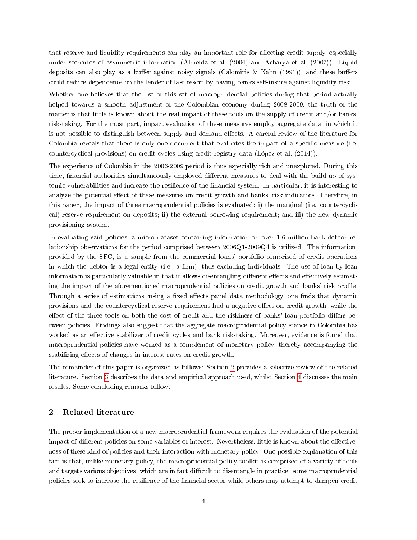that reserve and liquidity requirements can play an important role for affecting credit supply, especially under scenarios of asymmetric information (Almeida et al. (2004) and Acharya et al. (2007)). Liquid deposits can also play as a buffer against noisy signals (Calomiris & Kahn (1991)), and these buffers could reduce dependence on the lender of last resort by having banks self-insure against liquidity risk.

Whether one believes that the use of this set of macroprudential policies during that period actually helped towards a smooth adjustment of the Colombian economy during 2008-2009, the truth of the matter is that little is known about the real impact of these tools on the supply of credit and/or banks' risk-taking. For the most part, impact evaluation of these measures employ aggregate data, in which it is not possible to distinguish between supply and demand effects. A careful review of the literature for Colombia reveals that there is only one document that evaluates the impact of a specific measure (i.e. countercyclical provisions) on credit cycles using credit registry data (López et al. (2014)).

The experience of Colombia in the 2006-2009 period is thus especially rich and unexplored. During this time, financial authorities simultaneously employed different measures to deal with the build-up of systemic vulnerabilities and increase the resilience of the financial system. In particular, it is interesting to analyze the potential effect of these measures on credit growth and banks' risk indicators. Therefore, in this paper, the impact of three macroprudential policies is evaluated: i) the marginal (i.e. countercyclical) reserve requirement on deposits; ii) the external borrowing requirement; and iii) the new dynamic provisioning system.

In evaluating said policies, a micro dataset containing information on over 1.6 million bank-debtor relationship observations for the period comprised between 2006Q1-2009Q4 is utilized. The information, provided by the SFC, is a sample from the commercial loans' portfolio comprised of credit operations in which the debtor is a legal entity (i.e. a firm), thus excluding individuals. The use of loan-by-loan information is particularly valuable in that it allows disentangling different effects and effectively estimating the impact of the aforementioned macroprudential policies on credit growth and banks' risk profile. Through a series of estimations, using a fixed effects panel data methodology, one finds that dynamic provisions and the countercyclical reserve requirement had a negative effect on credit growth, while the effect of the three tools on both the cost of credit and the riskiness of banks' loan portfolio differs between policies. Findings also suggest that the aggregate macroprudential policy stance in Colombia has worked as an effective stabilizer of credit cycles and bank risk-taking. Moreover, evidence is found that macroprudential policies have worked as a complement of monetary policy, thereby accompanying the stabilizing effects of changes in interest rates on credit growth.

The remainder of this paper is organized as follows: Section [2](#page-3-0) provides a selective review of the related literature. Section [3](#page-6-0) describes the data and empirical approach used, whilst Section [4](#page-17-0) discusses the main results. Some concluding remarks follow.

## <span id="page-3-0"></span>2 Related literature

The proper implementation of a new macroprudential framework requires the evaluation of the potential impact of different policies on some variables of interest. Nevertheless, little is known about the effectiveness of these kind of policies and their interaction with monetary policy. One possible explanation of this fact is that, unlike monetary policy, the macroprudential policy toolkit is comprised of a variety of tools and targets various objectives, which are in fact difficult to disentangle in practice: some macroprudential policies seek to increase the resilience of the nancial sector while others may attempt to dampen credit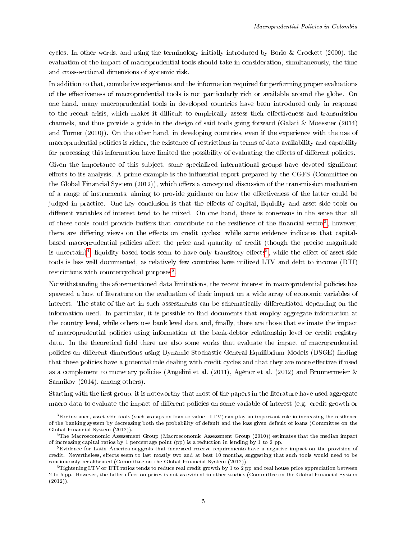cycles. In other words, and using the terminology initially introduced by Borio & Crockett (2000), the evaluation of the impact of macroprudential tools should take in consideration, simultaneously, the time and cross-sectional dimensions of systemic risk.

In addition to that, cumulative experience and the information required for performing proper evaluations of the effectiveness of macroprudential tools is not particularly rich or available around the globe. On one hand, many macroprudential tools in developed countries have been introduced only in response to the recent crisis, which makes it difficult to empirically assess their effectiveness and transmission channels, and thus provide a guide in the design of said tools going forward (Galati & Moessner (2014) and Turner (2010)). On the other hand, in developing countries, even if the experience with the use of macroprudential policies is richer, the existence of restrictions in terms of data availability and capability for processing this information have limited the possibility of evaluating the effects of different policies.

Given the importance of this subject, some specialized international groups have devoted signicant efforts to its analysis. A prime example is the influential report prepared by the CGFS (Committee on the Global Financial System (2012)), which offers a conceptual discussion of the transmission mechanism of a range of instruments, aiming to provide guidance on how the effectiveness of the latter could be judged in practice. One key conclusion is that the effects of capital, liquidity and asset-side tools on different variables of interest tend to be mixed. On one hand, there is consensus in the sense that all of these tools could provide buffers that contribute to the resilience of the financial sector<sup>[3](#page-0-0)</sup>, however, there are differing views on the effects on credit cycles: while some evidence indicates that capitalbased macroprudential policies affect the price and quantity of credit (though the precise magnitude is uncertain)<sup>[4](#page-0-0)</sup>, liquidity-based tools seem to have only transitory effects<sup>[5](#page-0-0)</sup>, while the effect of asset-side tools is less well documented, as relatively few countries have utilized LTV and debt to income (DTI) restrictions with countercyclical purposes<sup>[6](#page-0-0)</sup>.

Notwithstanding the aforementioned data limitations, the recent interest in macroprudential policies has spawned a host of literature on the evaluation of their impact on a wide array of economic variables of interest. The state-of-the-art in such assessments can be schematically differentiated depending on the information used. In particular, it is possible to find documents that employ aggregate information at the country level, while others use bank level data and, finally, there are those that estimate the impact of macroprudential policies using information at the bank-debtor relationship level or credit registry data. In the theoretical field there are also some works that evaluate the impact of macroprudential policies on different dimensions using Dynamic Stochastic General Equilibrium Models (DSGE) finding that these policies have a potential role dealing with credit cycles and that they are more effective if used as a complement to monetary policies (Angelini et al. (2011), Agénor et al. (2012) and Brunnermeier & Sannikov (2014), among others).

Starting with the first group, it is noteworthy that most of the papers in the literature have used aggregate macro data to evaluate the impact of different policies on some variable of interest (e.g. credit growth or

<sup>3</sup>For instance, asset-side tools (such as caps on loan to value - LTV) can play an important role in increasing the resilience of the banking system by decreasing both the probability of default and the loss given default of loans (Committee on the Global Financial System (2012)).

 $^{4}$ The Macroeconomic Assessment Group (Macroeconomic Assessment Group (2010)) estimates that the median impact of increasing capital ratios by 1 percentage point (pp) is a reduction in lending by 1 to 2 pp.

 $5E$ vidence for Latin America suggests that increased reserve requirements have a negative impact on the provision of credit. Nevertheless, effects seem to last mostly two and at best 10 months, suggesting that such tools would need to be continuously recalibrated (Committee on the Global Financial System (2012)).

 $6$ Tightening LTV or DTI ratios tends to reduce real credit growth by 1 to 2 pp and real house price appreciation between 2 to 5 pp. However, the latter effect on prices is not as evident in other studies (Committee on the Global Financial System  $(2012)$ .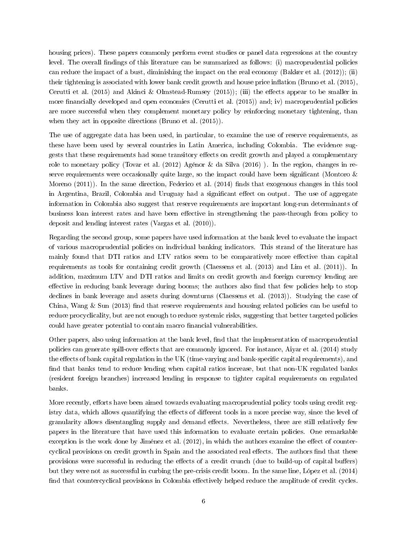housing prices). These papers commonly perform event studies or panel data regressions at the country level. The overall findings of this literature can be summarized as follows: (i) macroprudential policies can reduce the impact of a bust, diminishing the impact on the real economy (Bakker et al. (2012)); (ii) their tightening is associated with lower bank credit growth and house price inflation (Bruno et al. (2015), Cerutti et al. (2015) and Akinci & Olmstead-Rumsey (2015)); (iii) the effects appear to be smaller in more financially developed and open economies (Cerutti et al. (2015)) and; iv) macroprudential policies are more successful when they complement monetary policy by reinforcing monetary tightening, than when they act in opposite directions (Bruno et al.  $(2015)$ ).

The use of aggregate data has been used, in particular, to examine the use of reserve requirements, as these have been used by several countries in Latin America, including Colombia. The evidence suggests that these requirements had some transitory effects on credit growth and played a complementary role to monetary policy (Tovar et al. (2012) Agénor & da Silva (2016) ). In the region, changes in reserve requirements were occasionally quite large, so the impact could have been significant (Montoro  $\&$ Moreno  $(2011)$ ). In the same direction, Federico et al.  $(2014)$  finds that exogenous changes in this tool in Argentina, Brazil, Colombia and Uruguay had a significant effect on output. The use of aggregate information in Colombia also suggest that reserve requirements are important long-run determinants of business loan interest rates and have been effective in strengthening the pass-through from policy to deposit and lending interest rates (Vargas et al. (2010)).

Regarding the second group, some papers have used information at the bank level to evaluate the impact of various macroprudential policies on individual banking indicators. This strand of the literature has mainly found that DTI ratios and LTV ratios seem to be comparatively more effective than capital requirements as tools for containing credit growth (Claessens et al. (2013) and Lim et al. (2011)). In addition, maximum LTV and DTI ratios and limits on credit growth and foreign currency lending are effective in reducing bank leverage during booms; the authors also find that few policies help to stop declines in bank leverage and assets during downturns (Claessens et al. (2013)). Studying the case of China, Wang  $\&$  Sun (2013) find that reserve requirements and housing related policies can be useful to reduce procyclicality, but are not enough to reduce systemic risks, suggesting that better targeted policies could have greater potential to contain macro financial vulnerabilities.

Other papers, also using information at the bank level, find that the implementation of macroprudential policies can generate spill-over effects that are commonly ignored. For instance, Aiyar et al. (2014) study the effects of bank capital regulation in the UK (time-varying and bank-specific capital requirements), and find that banks tend to reduce lending when capital ratios increase, but that non-UK regulated banks (resident foreign branches) increased lending in response to tighter capital requirements on regulated banks.

More recently, efforts have been aimed towards evaluating macroprudential policy tools using credit registry data, which allows quantifying the effects of different tools in a more precise way, since the level of granularity allows disentangling supply and demand effects. Nevertheless, there are still relatively few papers in the literature that have used this information to evaluate certain policies. One remarkable exception is the work done by Jiménez et al. (2012), in which the authors examine the effect of countercyclical provisions on credit growth in Spain and the associated real effects. The authors find that these provisions were successful in reducing the effects of a credit crunch (due to build-up of capital buffers) but they were not as successful in curbing the pre-crisis credit boom. In the same line, López et al. (2014) find that countercyclical provisions in Colombia effectively helped reduce the amplitude of credit cycles.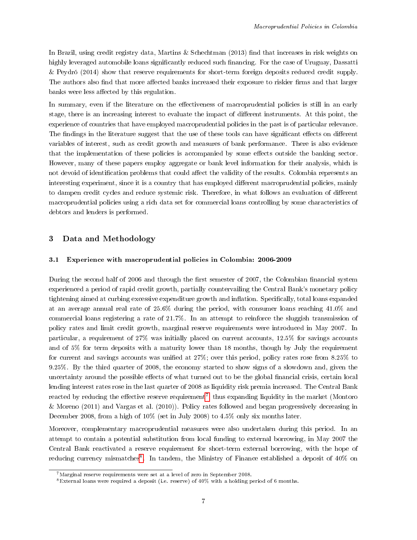In Brazil, using credit registry data, Martins & Schechtman (2013) find that increases in risk weights on highly leveraged automobile loans significantly reduced such financing. For the case of Uruguay, Dassatti & Peydró (2014) show that reserve requirements for short-term foreign deposits reduced credit supply. The authors also find that more affected banks increased their exposure to riskier firms and that larger banks were less affected by this regulation.

In summary, even if the literature on the effectiveness of macroprudential policies is still in an early stage, there is an increasing interest to evaluate the impact of different instruments. At this point, the experience of countries that have employed macroprudential policies in the past is of particular relevance. The findings in the literature suggest that the use of these tools can have significant effects on different variables of interest, such as credit growth and measures of bank performance. There is also evidence that the implementation of these policies is accompanied by some effects outside the banking sector. However, many of these papers employ aggregate or bank level information for their analysis, which is not devoid of identification problems that could affect the validity of the results. Colombia represents an interesting experiment, since it is a country that has employed different macroprudential policies, mainly to dampen credit cycles and reduce systemic risk. Therefore, in what follows an evaluation of different macroprudential policies using a rich data set for commercial loans controlling by some characteristics of debtors and lenders is performed.

## <span id="page-6-0"></span>3 Data and Methodology

## 3.1 Experience with macroprudential policies in Colombia: 2006-2009

During the second half of 2006 and through the first semester of 2007, the Colombian financial system experienced a period of rapid credit growth, partially countervailing the Central Bank's monetary policy tightening aimed at curbing excessive expenditure growth and inflation. Specifically, total loans expanded at an average annual real rate of  $25.6\%$  during the period, with consumer loans reaching  $41.0\%$  and commercial loans registering a rate of 21.7%. In an attempt to reinforce the sluggish transmission of policy rates and limit credit growth, marginal reserve requirements were introduced in May 2007. In particular, a requirement of 27% was initially placed on current accounts, 12.5% for savings accounts and of 5% for term deposits with a maturity lower than 18 months, though by July the requirement for current and savings accounts was unified at  $27\%$ ; over this period, policy rates rose from  $8.25\%$  to 9.25%. By the third quarter of 2008, the economy started to show signs of a slowdown and, given the uncertainty around the possible effects of what turned out to be the global financial crisis, certain local lending interest rates rose in the last quarter of 2008 as liquidity risk premia increased. The Central Bank reacted by reducing the effective reserve requirement<sup>[7](#page-0-0)</sup>, thus expanding liquidity in the market (Montoro & Moreno (2011) and Vargas et al. (2010)). Policy rates followed and began progressively decreasing in December 2008, from a high of 10% (set in July 2008) to 4.5% only six months later.

Moreover, complementary macroprudential measures were also undertaken during this period. In an attempt to contain a potential substitution from local funding to external borrowing, in May 2007 the Central Bank reactivated a reserve requirement for short-term external borrowing, with the hope of reducing currency mismatches<sup>[8](#page-0-0)</sup>. In tandem, the Ministry of Finance established a deposit of 40% on

 $7$ Marginal reserve requirements were set at a level of zero in September 2008.

<sup>&</sup>lt;sup>8</sup>External loans were required a deposit (i.e. reserve) of  $40\%$  with a holding period of 6 months.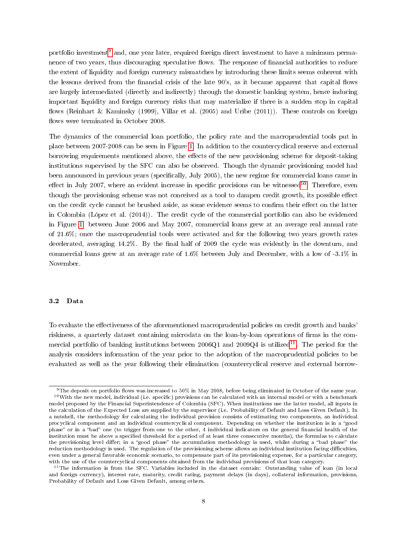portfolio investment<sup>[9](#page-0-0)</sup> and, one year later, required foreign direct investment to have a minimum permanence of two years, thus discouraging speculative flows. The response of financial authorities to reduce the extent of liquidity and foreign currency mismatches by introducing these limits seems coherent with the lessons derived from the financial crisis of the late 90's, as it became apparent that capital flows are largely intermediated (directly and indirectly) through the domestic banking system, hence inducing important liquidity and foreign currency risks that may materialize if there is a sudden stop in capital flows (Reinhart & Kaminsky (1999), Villar et al. (2005) and Uribe (2011)). These controls on foreign flows were terminated in October 2008.

The dynamics of the commercial loan portfolio, the policy rate and the macroprudential tools put in place between 2007-2008 can be seen in Figure [1.](#page-8-0) In addition to the countercyclical reserve and external borrowing requirements mentioned above, the effects of the new provisioning scheme for deposit-taking institutions supervised by the SFC can also be observed. Though the dynamic provisioning model had been announced in previous years (specifically, July 2005), the new regime for commercial loans came in effect in July 2007, where an evident increase in specific provisions can be witnessed<sup>[10](#page-0-0)</sup>. Therefore, even though the provisioning scheme was not conceived as a tool to dampen credit growth, its possible effect on the credit cycle cannot be brushed aside, as some evidence seems to confirm their effect on the latter in Colombia (López et al. (2014)). The credit cycle of the commercial portfolio can also be evidenced in Figure [1:](#page-8-0) between June 2006 and May 2007, commercial loans grew at an average real annual rate of 21.6%; once the macroprudential tools were activated and for the following two years growth rates decelerated, averaging 14.2%. By the final half of 2009 the cycle was evidently in the downturn, and commercial loans grew at an average rate of 1.6% between July and December, with a low of -3.1% in November.

#### 3.2 Data

To evaluate the effectiveness of the aforementioned macroprudential policies on credit growth and banks' riskiness, a quarterly dataset containing microdata on the loan-by-loan operations of firms in the commercial portfolio of banking institutions between  $2006Q1$  and  $2009Q4$  is utilized<sup>[11](#page-0-0)</sup>. The period for the analysis considers information of the year prior to the adoption of the macroprudential policies to be evaluated as well as the year following their elimination (countercyclical reserve and external borrow-

 $9$ The deposit on portfolio flows was increased to 50% in May 2008, before being eliminated in October of the same year.  $10$ With the new model, individual (i.e. specific) provisions can be calculated with an internal model or with a benchmark model proposed by the Financial Superintendence of Colombia (SFC). When institutions use the latter model, all inputs in the calculation of the Expected Loss are supplied by the supervisor (i.e. Probability of Default and Loss Given Default). In a nutshell, the methodology for calculating the individual provision consists of estimating two components, an individual procyclical component and an individual countercyclical component. Depending on whether the institution is in a "good phase" or in a "bad" one (to trigger from one to the other, 4 individual indicators on the general financial health of the institution must be above a specified threshold for a period of at least three consecutive months), the formulas to calculate the provisioning level differ; in a "good phase" the accumulation methodology is used, whilst during a "bad phase" the reduction methodology is used. The regulation of the provisioning scheme allows an individual institution facing difficulties, even under a general favorable economic scenario, to compensate part of its provisioning expense, for a particular category, with the use of the countercyclical components obtained from the individual provisions of that loan category.

<sup>&</sup>lt;sup>11</sup>The information is from the SFC. Variables included in the dataset contain: Outstanding value of loan (in local and foreign currency), interest rate, maturity, credit rating, payment delays (in days), collateral information, provisions, Probability of Default and Loss Given Default, among others.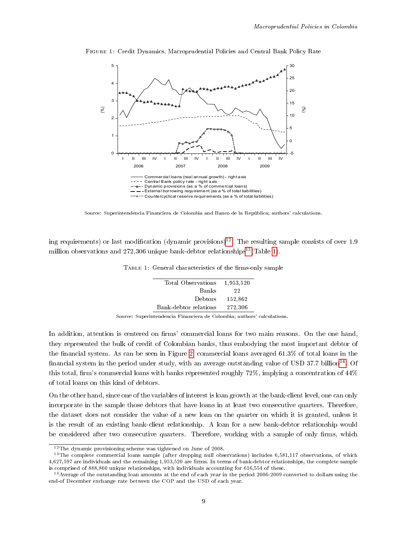

<span id="page-8-0"></span>Figure 1: Credit Dynamics, Macroprudential Policies and Central Bank Policy Rate

Source: Superintendencia Financiera de Colombia and Banco de la República; authors' calculations.

<span id="page-8-1"></span>ing requirements) or last modification (dynamic provisions)<sup>[12](#page-0-0)</sup>. The resulting sample consists of over 1.9 million observations and  $272,306$  unique bank-debtor relationships<sup>[13](#page-0-0)</sup>(Table [1\)](#page-8-1).

|  |  |  | TABLE 1: General characteristics of the firms-only sample |  |  |  |
|--|--|--|-----------------------------------------------------------|--|--|--|
|--|--|--|-----------------------------------------------------------|--|--|--|

| Total Observations    | 1,953,520 |
|-----------------------|-----------|
| Banks                 | 22        |
| Debtors               | 152,862   |
| Bank-debtor relations | 272,306   |

Source: Superintendencia Financiera de Colombia; authors' calculations.

In addition, attention is centered on firms' commercial loans for two main reasons. On the one hand, they represented the bulk of credit of Colombian banks, thus embodying the most important debtor of the financial system. As can be seen in Figure [2,](#page-9-0) commercial loans averaged  $61.3\%$  of total loans in the financial system in the period under study, with an average outstanding value of USD 37.7 billion<sup>[14](#page-0-0)</sup>. Of this total, firm's commercial loans with banks represented roughly  $72\%$ , implying a concentration of  $44\%$ of total loans on this kind of debtors.

On the other hand, since one of the variables of interest is loan growth at the bank-client level, one can only incorporate in the sample those debtors that have loans in at least two consecutive quarters. Therefore, the dataset does not consider the value of a new loan on the quarter on which it is granted, unless it is the result of an existing bank-client relationship. A loan for a new bank-debtor relationship would be considered after two consecutive quarters. Therefore, working with a sample of only firms, which

 $12$ The dynamic provisioning scheme was tightened on June of 2008.

<sup>&</sup>lt;sup>13</sup>The complete commercial loans sample (after dropping null observations) includes 6,581,117 observations, of which 4,627,597 are individuals and the remaining 1,953,520 are firms. In terms of bank-debtor relationships, the complete sample is comprised of 888,860 unique relationships, with individuals accounting for 616,554 of these.

<sup>&</sup>lt;sup>14</sup> Average of the outstanding loan amounts at the end of each year in the period 2006-2009 converted to dollars using the end-of December exchange rate between the COP and the USD of each year.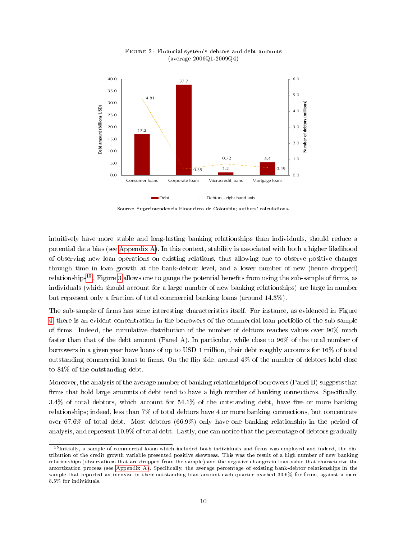<span id="page-9-0"></span>

Figure 2: Financial system's debtors and debt amounts (average 2006Q1-2009Q4)

Source: Superintendencia Financiera de Colombia; authors' calculations.

intuitively have more stable and long-lasting banking relationships than individuals, should reduce a potential data bias (see [Appendix A\)](#page-29-0). In this context, stability is associated with both a higher likelihood of observing new loan operations on existing relations, thus allowing one to observe positive changes through time in loan growth at the bank-debtor level, and a lower number of new (hence dropped) relationships<sup>[15](#page-0-0)</sup>. Figure [3](#page-10-0) allows one to gauge the potential benefits from using the sub-sample of firms, as individuals (which should account for a large number of new banking relationships) are large in number but represent only a fraction of total commercial banking loans (around 14.3%).

The sub-sample of firms has some interesting characteristics itself. For instance, as evidenced in Figure [4,](#page-10-1) there is an evident concentration in the borrowers of the commercial loan portfolio of the sub-sample of firms. Indeed, the cumulative distribution of the number of debtors reaches values over 90% much faster than that of the debt amount (Panel A). In particular, while close to 96% of the total number of borrowers in a given year have loans of up to USD 1 million, their debt roughly accounts for 16% of total outstanding commercial loans to firms. On the flip side, around  $4\%$  of the number of debtors hold close to 84% of the outstanding debt.

Moreover, the analysis of the average number of banking relationships of borrowers (Panel B) suggests that firms that hold large amounts of debt tend to have a high number of banking connections. Specifically, 3.4% of total debtors, which account for  $54.1\%$  of the outstanding debt, have five or more banking relationships; indeed, less than 7% of total debtors have 4 or more banking connections, but concentrate over 67.6% of total debt. Most debtors (66.9%) only have one banking relationship in the period of analysis, and represent 10.9% of total debt. Lastly, one can notice that the percentage of debtors gradually

 $15$ Initially, a sample of commercial loans which included both individuals and firms was employed and indeed, the distribution of the credit growth variable presented positive skewness. This was the result of a high number of new banking relationships (observations that are dropped from the sample) and the negative changes in loan value that characterize the amortization process (see [Appendix A\)](#page-29-0). Specifically, the average percentage of existing bank-debtor relationships in the sample that reported an increase in their outstanding loan amount each quarter reached 33.6% for firms, against a mere 8.5% for individuals.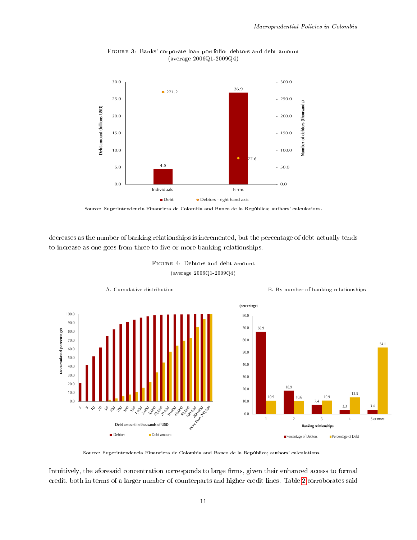<span id="page-10-0"></span>

Figure 3: Banks' corporate loan portfolio: debtors and debt amount (average 2006Q1-2009Q4)



<span id="page-10-1"></span>decreases as the number of banking relationships is incremented, but the percentage of debt actually tends to increase as one goes from three to five or more banking relationships.



Figure 4: Debtors and debt amount (average 2006Q1-2009Q4)

Source: Superintendencia Financiera de Colombia and Banco de la República; authors' calculations.

Intuitively, the aforesaid concentration corresponds to large firms, given their enhanced access to formal credit, both in terms of a larger number of counterparts and higher credit lines. Table [2](#page-11-0) corroborates said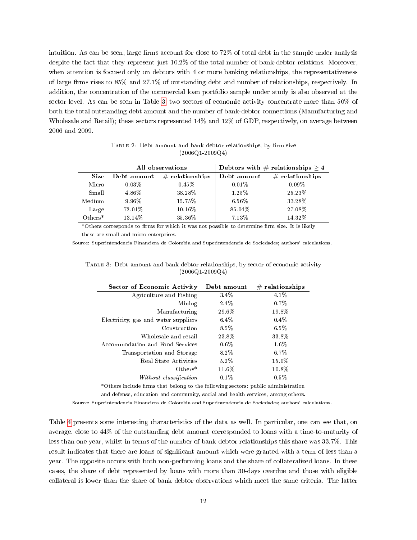intuition. As can be seen, large firms account for close to  $72\%$  of total debt in the sample under analysis despite the fact that they represent just 10.2% of the total number of bank-debtor relations. Moreover, when attention is focused only on debtors with 4 or more banking relationships, the representativeness of large firms rises to  $85\%$  and  $27.1\%$  of outstanding debt and number of relationships, respectively. In addition, the concentration of the commercial loan portfolio sample under study is also observed at the sector level. As can be seen in Table [3,](#page-11-1) two sectors of economic activity concentrate more than 50% of both the total outstanding debt amount and the number of bank-debtor connections (Manufacturing and Wholesale and Retail); these sectors represented 14% and 12% of GDP, respectively, on average between 2006 and 2009.

TABLE 2: Debt amount and bank-debtor relationships, by firm size (2006Q1-2009Q4)

<span id="page-11-0"></span>

|             | All observations |                   |             | Debtors with $\#$ relationships $\geq 4$ |
|-------------|------------------|-------------------|-------------|------------------------------------------|
| <b>Size</b> | Debt amount      | $#$ relationships | Debt amount | $#$ relationships                        |
| Micro       | $0.03\%$         | 0.45%             | 0.01%       | $0.09\%$                                 |
| Small       | 4.86%            | 38.28%            | 1.25%       | 25.23%                                   |
| Medium      | 9.96%            | 15.75%            | 6.56%       | 33.28%                                   |
| Large       | 72.01%           | 10.16%            | 85.04%      | 27.08%                                   |
| $Others*$   | 13.14%           | 35.36%            | 7.13%       | 14.32%                                   |

\*Others corresponds to firms for which it was not possible to determine firm size. It is likely these are small and micro-enterprises.

<span id="page-11-1"></span>Source: Superintendencia Financiera de Colombia and Superintendencia de Sociedades; authors' calculations.

Table 3: Debt amount and bank-debtor relationships, by sector of economic activity (2006Q1-2009Q4)

| <b>Sector of Economic Activity</b>   | Debt amount | $\#$ relationships |
|--------------------------------------|-------------|--------------------|
| Agriculture and Fishing              | 3.4%        | 4.1%               |
| Mining                               | 2.4%        | $0.7\%$            |
| Manufacturing                        | 29.6%       | 19.8%              |
| Electricity, gas and water suppliers | $6.4\%$     | $0.4\%$            |
| Construction                         | 8.5%        | $6.5\%$            |
| Wholesale and retail                 | 23.8%       | 33.8%              |
| Accommodation and Food Services      | $0.6\%$     | $1.6\%$            |
| Transportation and Storage           | 8.2%        | $6.7\%$            |
| <b>Real State Activities</b>         | $5.2\%$     | 15.0%              |
| $Others*$                            | 11.6%       | 10.8%              |
| Without classification               | $0.1\%$     | $0.5\%$            |

\*Others include firms that belong to the following sectors: public administration

and defense, education and community, social and health services, among others.

Source: Superintendencia Financiera de Colombia and Superintendencia de Sociedades; authors' calculations.

Table [4](#page-12-0) presents some interesting characteristics of the data as well. In particular, one can see that, on average, close to 44% of the outstanding debt amount corresponded to loans with a time-to-maturity of less than one year, whilst in terms of the number of bank-debtor relationships this share was 33.7%. This result indicates that there are loans of signicant amount which were granted with a term of less than a year. The opposite occurs with both non-performing loans and the share of collateralized loans. In these cases, the share of debt represented by loans with more than 30-days overdue and those with eligible collateral is lower than the share of bank-debtor observations which meet the same criteria. The latter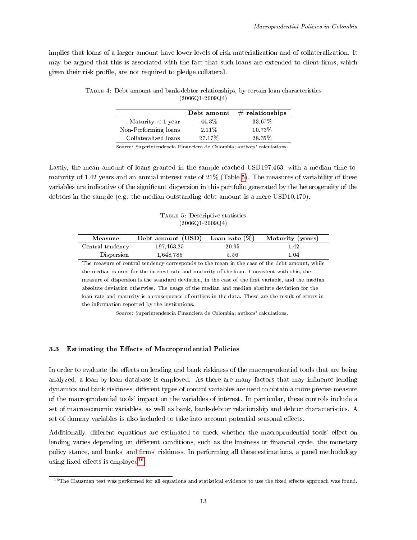<span id="page-12-0"></span>implies that loans of a larger amount have lower levels of risk materialization and of collateralization. It may be argued that this is associated with the fact that such loans are extended to client-firms, which given their risk profile, are not required to pledge collateral.

|                      | Debt amount | $#$ relationships |
|----------------------|-------------|-------------------|
| Maturity $<$ 1 year  | 44.3%       | 33.67%            |
| Non-Performing loans | 2.11\%      | 10.73%            |
| Collateralized loans | 27.17%      | 28.35%            |
|                      |             |                   |

Table 4: Debt amount and bank-debtor relationships, by certain loan characteristics (2006Q1-2009Q4)

Source: Superintendencia Financiera de Colombia; authors' calculations.

Lastly, the mean amount of loans granted in the sample reached USD197,463, with a median time-tomaturity of 1.42 years and an annual interest rate of 21% (Table [5\)](#page-12-1). The measures of variability of these variables are indicative of the signicant dispersion in this portfolio generated by the heterogeneity of the debtors in the sample (e.g. the median outstanding debt amount is a mere USD10,170).

Table 5: Descriptive statistics (2006Q1-2009Q4)

<span id="page-12-1"></span>

| Measure          | Debt amount $(USD)$ Loan rate $(\%)$ |       | Maturity (years) |
|------------------|--------------------------------------|-------|------------------|
| Central tendency | 197.463.25                           | 20.95 | 1.42             |
| Dispersion       | 1,648,786                            | 5.56  | 1.04             |

The measure of central tendency corresponds to the mean in the case of the debt amount, while the median is used for the interest rate and maturity of the loan. Consistent with this, the measure of dispersion is the standard deviation, in the case of the first variable, and the median absolute deviation otherwise. The usage of the median and median absolute deviation for the loan rate and maturity is a consequence of outliers in the data. These are the result of errors in the information reported by the institutions.

Source: Superintendencia Financiera de Colombia; authors' calculations.

### 3.3 Estimating the Effects of Macroprudential Policies

In order to evaluate the effects on lending and bank riskiness of the macroprudential tools that are being analyzed, a loan-by-loan database is employed. As there are many factors that may influence lending dynamics and bank riskiness, different types of control variables are used to obtain a more precise measure of the macroprudential tools' impact on the variables of interest. In particular, these controls include a set of macroeconomic variables, as well as bank, bank-debtor relationship and debtor characteristics. A set of dummy variables is also included to take into account potential seasonal effects.

Additionally, different equations are estimated to check whether the macroprudential tools' effect on lending varies depending on different conditions, such as the business or financial cycle, the monetary policy stance, and banks' and firms' riskiness. In performing all these estimations, a panel methodology using fixed effects is employed<sup>[16](#page-0-0)</sup>.

 $16$ The Hausman test was performed for all equations and statistical evidence to use the fixed effects approach was found.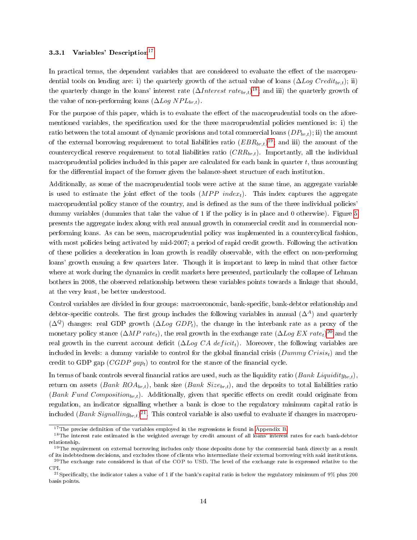### 3.3.1 Variables' Description<sup>[17](#page-0-0)</sup>

In practical terms, the dependent variables that are considered to evaluate the effect of the macroprudential tools on lending are: i) the quarterly growth of the actual value of loans  $(\Delta Log Credit_{brt});$  ii) the quarterly change in the loans' interest rate  $(\Delta Interset \ rate_{br,t})^{18}$  $(\Delta Interset \ rate_{br,t})^{18}$  $(\Delta Interset \ rate_{br,t})^{18}$ ; and iii) the quarterly growth of the value of non-performing loans  $(\Delta Log NP L_{br, t}).$ 

For the purpose of this paper, which is to evaluate the effect of the macroprudential tools on the aforementioned variables, the specification used for the three macroprudential policies mentioned is: i) the ratio between the total amount of dynamic provisions and total commercial loans  $(DP_{br,t})$ ; ii) the amount of the external borrowing requirement to total liabilities ratio  $(EBR_{br,t})^{19}$  $(EBR_{br,t})^{19}$  $(EBR_{br,t})^{19}$ ; and iii) the amount of the countercyclical reserve requirement to total liabilities ratio  $(CRR_{br,t})$ . Importantly, all the individual macroprudential policies included in this paper are calculated for each bank in quarter  $t$ , thus accounting for the differential impact of the former given the balance-sheet structure of each institution.

Additionally, as some of the macroprudential tools were active at the same time, an aggregate variable is used to estimate the joint effect of the tools  $(MPP \text{ index}_t)$ . This index captures the aggregate macroprudential policy stance of the country, and is defined as the sum of the three individual policies' dummy variables (dummies that take the value of 1 if the policy is in place and 0 otherwise). Figure [5](#page-14-0) presents the aggregate index along with real annual growth in commercial credit and in commercial nonperforming loans. As can be seen, macroprudential policy was implemented in a countercylical fashion, with most policies being activated by mid-2007; a period of rapid credit growth. Following the activation of these policies a deceleration in loan growth is readily observable, with the eect on non-performing loans' growth ensuing a few quarters later. Though it is important to keep in mind that other factor where at work during the dynamics in credit markets here presented, particularly the collapse of Lehman bothers in 2008, the observed relationship between these variables points towards a linkage that should, at the very least, be better understood.

Control variables are divided in four groups: macroeconomic, bank-specific, bank-debtor relationship and debtor-specific controls. The first group includes the following variables in annual  $(\Delta^A)$  and quarterly  $(\Delta^Q)$  changes: real GDP growth  $(\Delta Log GDP_t)$ , the change in the interbank rate as a proxy of the monetary policy stance  $(\Delta MP \ rate_t)$ , the real growth in the exchange rate  $(\Delta Log \ EX \ rate_t)^{20}$  $(\Delta Log \ EX \ rate_t)^{20}$  $(\Delta Log \ EX \ rate_t)^{20}$  and the real growth in the current account deficit ( $\Delta Log CA \, deficit_i$ ). Moreover, the following variables are included in levels: a dummy variable to control for the global financial crisis  $(Dummy\,Crisis_t)$  and the credit to GDP gap  $(CGDP\ gap)$  to control for the stance of the financial cycle.

In terms of bank controls several financial ratios are used, such as the liquidity ratio (Bank Liquidity<sub>br,t</sub>), return on assets (Bank ROA<sub>br,t</sub>), bank size (Bank Size<sub>br,t</sub>), and the deposits to total liabilities ratio (Bank Fund Composition<sub>br,t</sub>). Additionally, given that specific effects on credit could originate from regulation, an indicator signalling whether a bank is close to the regulatory minimum capital ratio is included  $(Bank\ Signaling_{br,t})^{21}.$  $(Bank\ Signaling_{br,t})^{21}.$  $(Bank\ Signaling_{br,t})^{21}.$  This control variable is also useful to evaluate if changes in macropru-

 $17$ The precise definition of the variables employed in the regressions is found in [Appendix B.](#page-32-0)

<sup>&</sup>lt;sup>18</sup>The interest rate estimated is the weighted average by credit amount of all loans' interest rates for each bank-debtor relationship.

 $19$ The requirement on external borrowing includes only those deposits done by the commercial bank directly as a result of its indebtedness decisions, and excludes those of clients who intermediate their external borrowing with said institutions.  $^{20}$ The exchange rate considered is that of the COP to USD. The level of the exchange rate is expressed relative to the

CPI. <sup>21</sup>Specifically, the indicator takes a value of 1 if the bank's capital ratio is below the regulatory minimum of  $9\%$  plus 200

basis points.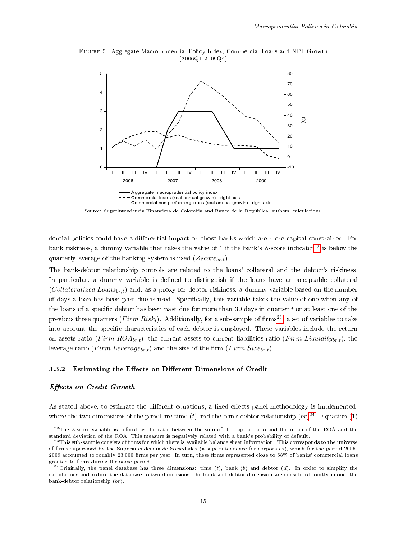<span id="page-14-0"></span>



Source: Superintendencia Financiera de Colombia and Banco de la República; authors' calculations.

dential policies could have a differential impact on those banks which are more capital-constrained. For bank riskiness, a dummy variable that takes the value of 1 if the bank's Z-score indicator<sup>[22](#page-0-0)</sup> is below the quarterly average of the banking system is used  $(Zscore_{br,t})$ .

The bank-debtor relationship controls are related to the loans' collateral and the debtor's riskiness. In particular, a dummy variable is defined to distinguish if the loans have an acceptable collateral (Collateralized Loans<sub>br,t</sub>) and, as a proxy for debtor riskiness, a dummy variable based on the number of days a loan has been past due is used. Specifically, this variable takes the value of one when any of the loans of a specific debtor has been past due for more than 30 days in quarter t or at least one of the previous three quarters (Firm Risk<sub>t</sub>). Additionally, for a sub-sample of firms<sup>[23](#page-0-0)</sup>, a set of variables to take into account the specific characteristics of each debtor is employed. These variables include the return on assets ratio (Firm  $ROA_{br,t}$ ), the current assets to current liabilities ratio (Firm Liquidity<sub>br,t</sub>), the leverage ratio (Firm Leverage<sub>br,t</sub>) and the size of the firm (Firm Size<sub>br,t</sub>).

#### <span id="page-14-1"></span>3.3.2 Estimating the Effects on Different Dimensions of Credit

#### Effects on Credit Growth

As stated above, to estimate the different equations, a fixed effects panel methodology is implemented, where the two dimensions of the panel are time  $(t)$  and the bank-debtor relationship  $(br)^{24}$  $(br)^{24}$  $(br)^{24}$ . Equation [\(1\)](#page-15-0)

 $^{22}$ The Z-score variable is defined as the ratio between the sum of the capital ratio and the mean of the ROA and the standard deviation of the ROA. This measure is negatively related with a bank's probability of default.

 $^{23}$ This sub-sample consists of firms for which there is available balance sheet information. This corresponds to the universe of firms supervised by the Superintendencia de Sociedades (a superintendence for corporates), which for the period 2006-2009 accounted to roughly  $23.000$  firms per year. In turn, these firms represented close to  $58\%$  of banks' commercial loans granted to firms during the same period.

<sup>&</sup>lt;sup>24</sup>Originally, the panel database has three dimensions: time  $(t)$ , bank  $(b)$  and debtor  $(d)$ . In order to simplify the calculations and reduce the database to two dimensions, the bank and debtor dimension are considered jointly in one; the bank-debtor relationship (br).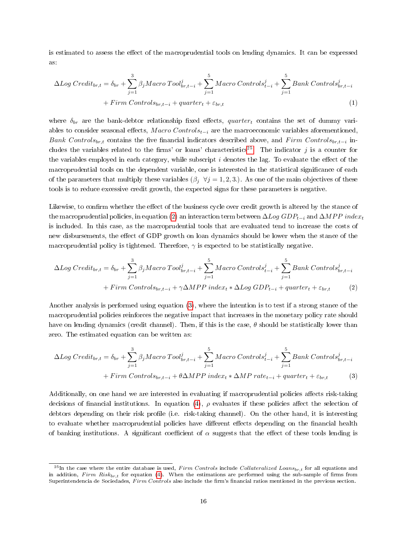is estimated to assess the effect of the macroprudential tools on lending dynamics. It can be expressed as:

<span id="page-15-0"></span>
$$
\Delta Log\ Credit_{br,t} = \delta_{br} + \sum_{j=1}^{3} \beta_j Macro\ Tool_{br,t-i}^j + \sum_{j=1}^{5} Macro\ Controls_{t-i}^j + \sum_{j=1}^{5} Bank\ Controls_{br,t-i}^j
$$

$$
+ \text{Firm\ Controls}_{br,t-i} + \text{quarter}_{t} + \varepsilon_{br,t} \tag{1}
$$

where  $\delta_{br}$  are the bank-debtor relationship fixed effects, quartert contains the set of dummy variables to consider seasonal effects,  $Macco Controls_{t-i}$  are the macroeconomic variables aforementioned, Bank Controls<sub>br,t</sub> contains the five financial indicators described above, and Firm Controls<sub>br,t−i</sub> in-cludes the variables related to the firms' or loans' characteristics<sup>[25](#page-0-0)</sup>. The indicator j is a counter for the variables employed in each category, while subscript  $i$  denotes the lag. To evaluate the effect of the macroprudential tools on the dependent variable, one is interested in the statistical significance of each of the parameters that multiply these variables ( $\beta_j \ \forall j = 1, 2, 3$ .). As one of the main objectives of these tools is to reduce excessive credit growth, the expected signs for these parameters is negative.

Likewise, to confirm whether the effect of the business cycle over credit growth is altered by the stance of the macroprudential policies, in equation [\(2\)](#page-15-1) an interaction term between  $\Delta Log GDP_{t-i}$  and  $\Delta MPP$  indext is included. In this case, as the macroprudential tools that are evaluated tend to increase the costs of new disbursements, the effect of GDP growth on loan dynamics should be lower when the stance of the macroprudential policy is tightened. Therefore,  $\gamma$  is expected to be statistically negative.

<span id="page-15-1"></span>
$$
\Delta Log\, Credit_{br,t} = \delta_{br} + \sum_{j=1}^{3} \beta_j Macro\, Tool_{br,t-i}^j + \sum_{j=1}^{5} Macro\, Controls_{t-i}^j + \sum_{j=1}^{5} Bank\, Controls_{br,t-i}^j
$$

$$
+ \, Firm\, Controls_{br,t-i} + \gamma \Delta MPP\,index_t * \Delta Log\, GDP_{t-i} + quarter_t + \varepsilon_{br,t} \tag{2}
$$

Another analysis is performed using equation [\(3\)](#page-15-2), where the intention is to test if a strong stance of the macroprudential policies reinforces the negative impact that increases in the monetary policy rate should have on lending dynamics (credit channel). Then, if this is the case,  $\theta$  should be statistically lower than zero. The estimated equation can be written as:

<span id="page-15-2"></span>
$$
\Delta Log\ Credit_{br,t} = \delta_{br} + \sum_{j=1}^{3} \beta_j Macro\ Tool_{br,t-i}^j + \sum_{j=1}^{5} Macro\ Controls_{t-i}^j + \sum_{j=1}^{5} Bank\ Controls_{br,t-i}^j
$$

$$
+ \text{Firm\ Controls}_{br,t-i} + \theta \Delta MPP\ index_t * \Delta MP\ rate_{t-i} + quarter_t + \varepsilon_{br,t} \tag{3}
$$

Additionally, on one hand we are interested in evaluating if macroprudential policies affects risk-taking decisions of financial institutions. In equation [\(4\)](#page-16-0),  $\rho$  evaluates if these policies affect the selection of debtors depending on their risk profile (i.e. risk-taking channel). On the other hand, it is interesting to evaluate whether macroprudential policies have different effects depending on the financial health of banking institutions. A significant coefficient of  $\alpha$  suggests that the effect of these tools lending is

<sup>&</sup>lt;sup>25</sup>In the case where the entire database is used, Firm Controls include Collateralized Loans<sub>br,t</sub> for all equations and in addition, Firm Risk<sub>br,t</sub> for equation [\(4\)](#page-16-0). When the estimations are performed using the sub-sample of firms from Superintendencia de Sociedades, Firm Controls also include the firm's financial ratios mentioned in the previous section.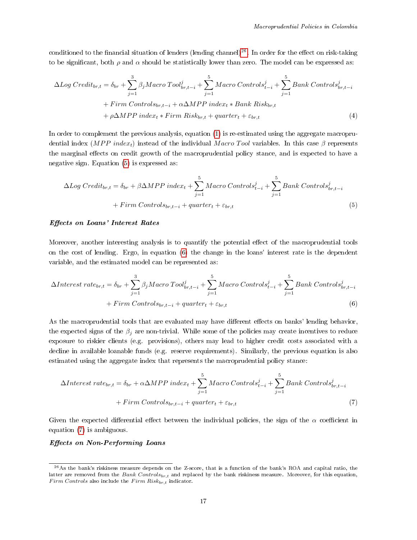conditioned to the financial situation of lenders (lending channel)<sup>[26](#page-0-0)</sup>. In order for the effect on risk-taking to be significant, both  $\rho$  and  $\alpha$  should be statistically lower than zero. The model can be expressed as:

$$
\Delta Log\ Credit_{br,t} = \delta_{br} + \sum_{j=1}^{3} \beta_j Macro\ Tool_{br,t-i}^j + \sum_{j=1}^{5} Macro\ Controls_{t-i}^j + \sum_{j=1}^{5} Bank\ Controls_{br,t-i}^j
$$

$$
+ Firm\ Controls_{br,t-i} + \alpha \Delta MPP\ index_t * Bank\ Risk_{br,t}
$$

$$
+ \rho \Delta MPP\ index_t * Firm\ Risk_{br,t} + quarter_t + \varepsilon_{br,t}
$$
(4)

In order to complement the previous analysis, equation [\(1\)](#page-15-0) is re-estimated using the aggregate macroprudential index ( $MPP$  index<sub>t</sub>) instead of the individual Macro Tool variables. In this case  $\beta$  represents the marginal effects on credit growth of the macroprudential policy stance, and is expected to have a negative sign. Equation [\(5\)](#page-16-1) is expressed as:

<span id="page-16-1"></span><span id="page-16-0"></span>
$$
\Delta Log\, Credit_{br,t} = \delta_{br} + \beta \Delta MPP\ index_{t} + \sum_{j=1}^{5} Macro\,Controls_{t-i}^{j} + \sum_{j=1}^{5} Bank\, Controls_{br,t-i}^{j} + Firm\, Controls_{br,t-i} + quarter_{t} + \varepsilon_{br,t}
$$
\n
$$
(5)
$$

#### Effects on Loans' Interest Rates

Moreover, another interesting analysis is to quantify the potential effect of the macroprudential tools on the cost of lending. Ergo, in equation [\(6\)](#page-16-2) the change in the loans' interest rate is the dependent variable, and the estimated model can be represented as:

$$
\Delta Interest\ rate_{br,t} = \delta_{br} + \sum_{j=1}^{3} \beta_j Macro\ Tool_{br,t-i}^j + \sum_{j=1}^{5} Macro\ Controls_{t-i}^j + \sum_{j=1}^{5} Bank\ Controls_{br,t-i}^j
$$

$$
+ Firm\ Controls_{br,t-i} + quarter_t + \varepsilon_{br,t}
$$
(6)

As the macroprudential tools that are evaluated may have different effects on banks' lending behavior, the expected signs of the  $\beta_i$  are non-trivial. While some of the policies may create incentives to reduce exposure to riskier clients (e.g. provisions), others may lead to higher credit costs associated with a decline in available loanable funds (e.g. reserve requirements). Similarly, the previous equation is also estimated using the aggregate index that represents the macroprudential policy stance:

<span id="page-16-3"></span><span id="page-16-2"></span>
$$
\Delta Interest\ rate_{br,t} = \delta_{br} + \alpha \Delta MPP\ index_{t} + \sum_{j=1}^{5} Macco\ Controls_{t-i}^{j} + \sum_{j=1}^{5} Bank\ Controls_{br,t-i}^{j}
$$

$$
+ Firm\ Controls_{br,t-i} + quarter_{t} + \varepsilon_{br,t}
$$
(7)

Given the expected differential effect between the individual policies, the sign of the  $\alpha$  coefficient in equation [\(7\)](#page-16-3) is ambiguous.

## Effects on Non-Performing Loans

 $^{26}$ As the bank's riskiness measure depends on the Z-score, that is a function of the bank's ROA and capital ratio, the latter are removed from the Bank Controls<sub>br,t</sub> and replaced by the bank riskiness measure. Moreover, for this equation, Firm Controls also include the Firm  $Risk_{br, t}$  indicator.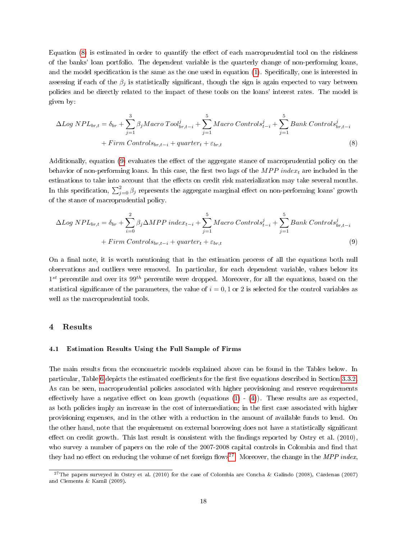Equation  $(8)$  is estimated in order to quantify the effect of each macroprudential tool on the riskiness of the banks' loan portfolio. The dependent variable is the quarterly change of non-performing loans, and the model specification is the same as the one used in equation  $(1)$ . Specifically, one is interested in assessing if each of the  $\beta_j$  is statistically significant, though the sign is again expected to vary between policies and be directly related to the impact of these tools on the loans' interest rates. The model is given by:

<span id="page-17-1"></span>
$$
\Delta Log \; NPL_{br,t} = \delta_{br} + \sum_{j=1}^{3} \beta_j Macro \; Tool_{br,t-i}^j + \sum_{j=1}^{5} Macro \; Controls_{t-i}^j + \sum_{j=1}^{5} Bank \; Controls_{br,t-i}^j
$$

$$
+ \; Firm \; Controls_{br,t-i} + quarter_t + \varepsilon_{br,t} \tag{8}
$$

Additionally, equation [\(9\)](#page-17-2) evaluates the effect of the aggregate stance of macroprudential policy on the behavior of non-performing loans. In this case, the first two lags of the  $MPP$  index<sub>t</sub> are included in the estimations to take into account that the effects on credit risk materialization may take several months. In this specification,  $\sum_{j=0}^{2} \beta_j$  represents the aggregate marginal effect on non-performing loans' growth of the stance of macroprudential policy.

<span id="page-17-2"></span>
$$
\Delta Log NP L_{br,t} = \delta_{br} + \sum_{i=0}^{2} \beta_j \Delta MPP index_{t-i} + \sum_{j=1}^{5} Macco\,Controls_{t-i}^j + \sum_{j=1}^{5} Bank\,Controls_{br,t-i}^j
$$
  
+ *Firm*  $Controls_{br,t-i} + quarter_t + \varepsilon_{br,t}$  (9)

On a final note, it is worth mentioning that in the estimation process of all the equations both null observations and outliers were removed. In particular, for each dependent variable, values below its  $1^{st}$  percentile and over its  $99^{th}$  percentile were dropped. Moreover, for all the equations, based on the statistical significance of the parameters, the value of  $i = 0, 1$  or 2 is selected for the control variables as well as the macroprudential tools.

#### <span id="page-17-0"></span>4 Results

### 4.1 Estimation Results Using the Full Sample of Firms

The main results from the econometric models explained above can be found in the Tables below. In particular, Table [6](#page-19-0) depicts the estimated coefficients for the first five equations described in Section [3.3.2.](#page-14-1) As can be seen, macroprudential policies associated with higher provisioning and reserve requirements effectively have a negative effect on loan growth (equations  $(1) - (4)$  $(1) - (4)$  $(1) - (4)$ ). These results are as expected, as both policies imply an increase in the cost of intermediation; in the first case associated with higher provisioning expenses, and in the other with a reduction in the amount of available funds to lend. On the other hand, note that the requirement on external borrowing does not have a statistically signicant effect on credit growth. This last result is consistent with the findings reported by Ostry et al.  $(2010)$ , who survey a number of papers on the role of the 2007-2008 capital controls in Colombia and find that they had no effect on reducing the volume of net foreign flows<sup>[27](#page-0-0)</sup>. Moreover, the change in the MPP index,

<sup>&</sup>lt;sup>27</sup>The papers surveyed in Ostry et al. (2010) for the case of Colombia are Concha & Galindo (2008), Cárdenas (2007) and Clements & Kamil (2009).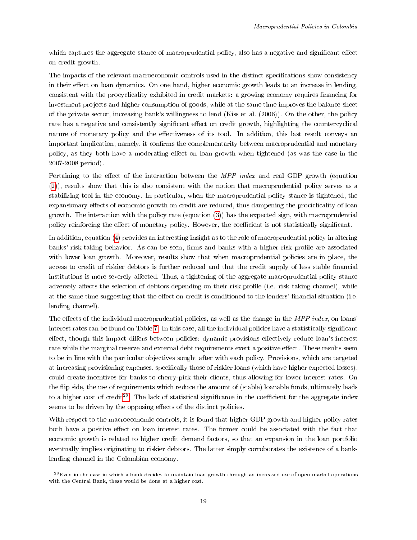which captures the aggregate stance of macroprudential policy, also has a negative and significant effect on credit growth.

The impacts of the relevant macroeconomic controls used in the distinct specifications show consistency in their effect on loan dynamics. On one hand, higher economic growth leads to an increase in lending, consistent with the procyclicality exhibited in credit markets: a growing economy requires financing for investment projects and higher consumption of goods, while at the same time improves the balance-sheet of the private sector, increasing bank's willingness to lend (Kiss et al. (2006)). On the other, the policy rate has a negative and consistently significant effect on credit growth, highlighting the countercyclical nature of monetary policy and the effectiveness of its tool. In addition, this last result conveys an important implication, namely, it confirms the complementarity between macroprudential and monetary policy, as they both have a moderating effect on loan growth when tightened (as was the case in the 2007-2008 period).

Pertaining to the effect of the interaction between the  $MPP$  index and real GDP growth (equation [\(2\)](#page-15-1)), results show that this is also consistent with the notion that macroprudential policy serves as a stabilizing tool in the economy. In particular, when the macroprudential policy stance is tightened, the expansionary effects of economic growth on credit are reduced, thus dampening the prociclicality of loan growth. The interaction with the policy rate (equation [\(3\)](#page-15-2)) has the expected sign, with macroprudential policy reinforcing the effect of monetary policy. However, the coefficient is not statistically significant.

In addition, equation [\(4\)](#page-16-0) provides an interesting insight as to the role of macroprudential policy in altering banks' risk-taking behavior. As can be seen, firms and banks with a higher risk profile are associated with lower loan growth. Moreover, results show that when macroprudential policies are in place, the access to credit of riskier debtors is further reduced and that the credit supply of less stable financial institutions is more severely affected. Thus, a tightening of the aggregate macroprudential policy stance adversely affects the selection of debtors depending on their risk profile (i.e. risk taking channel), while at the same time suggesting that the effect on credit is conditioned to the lenders' financial situation (i.e. lending channel).

The effects of the individual macroprudential policies, as well as the change in the  $MPP$  index, on loans' interest rates can be found on Table [7.](#page-20-0) In this case, all the individual policies have a statistically signicant effect, though this impact differs between policies; dynamic provisions effectively reduce loan's interest rate while the marginal reserve and external debt requirements exert a positive effect. These results seem to be in line with the particular objectives sought after with each policy. Provisions, which are targeted at increasing provisioning expenses, specifically those of riskier loans (which have higher expected losses), could create incentives for banks to cherry-pick their clients, thus allowing for lower interest rates. On the flip side, the use of requirements which reduce the amount of (stable) loanable funds, ultimately leads to a higher cost of credit<sup>[28](#page-0-0)</sup>. The lack of statistical significance in the coefficient for the aggregate index seems to be driven by the opposing effects of the distinct policies.

With respect to the macroeconomic controls, it is found that higher GDP growth and higher policy rates both have a positive effect on loan interest rates. The former could be associated with the fact that economic growth is related to higher credit demand factors, so that an expansion in the loan portfolio eventually implies originating to riskier debtors. The latter simply corroborates the existence of a banklending channel in the Colombian economy.

 $^{28}$ Even in the case in which a bank decides to maintain loan growth through an increased use of open market operations with the Central Bank, these would be done at a higher cost.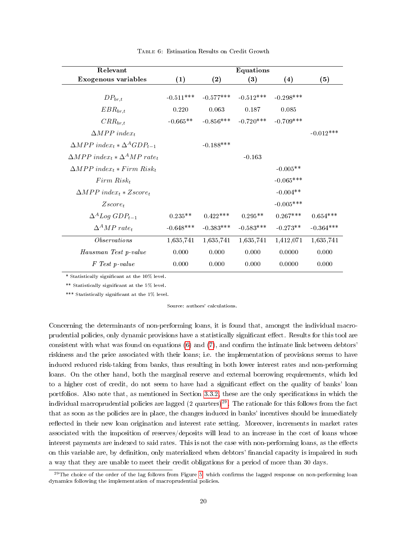<span id="page-19-0"></span>

| Relevant                                                             |             |             | <b>Equations</b> |             |             |
|----------------------------------------------------------------------|-------------|-------------|------------------|-------------|-------------|
| Exogenous variables                                                  | (1)         | (2)         | (3)              | (4)         | (5)         |
| $DP_{br,t}$                                                          | $-0.511***$ | $-0.577***$ | $-0.512***$      | $-0.298***$ |             |
| $EBR_{br,t}$                                                         | 0.220       | 0.063       | 0.187            | 0.085       |             |
| $CRR_{br,t}$                                                         | $-0.665**$  | $-0.856***$ | $-0.720***$      | $-0.709***$ |             |
| $\triangle MPP$ index <sub>t</sub>                                   |             |             |                  |             | $-0.012***$ |
| $\triangle MPP$ index <sub>t</sub> * $\triangle ^{A}GDP_{t-1}$       |             | $-0.188***$ |                  |             |             |
| $\triangle MPP$ index <sub>t</sub> * $\Delta^A MP$ rate <sub>t</sub> |             |             | $-0.163$         |             |             |
| $\Delta MPP$ index <sub>t</sub> * Firm Risk <sub>t</sub>             |             |             |                  | $-0.005**$  |             |
| $Firm Risk_t$                                                        |             |             |                  | $-0.065***$ |             |
| $\triangle MPP$ index <sub>t</sub> * Zscore <sub>t</sub>             |             |             |                  | $-0.004**$  |             |
| $Zscore_t$                                                           |             |             |                  | $-0.005***$ |             |
| $\Delta^A Log GDP_{t-1}$                                             | $0.235**$   | $0.422***$  | $0.295**$        | $0.267***$  | $0.654***$  |
| $\Delta^A MP$ rate <sub>t</sub>                                      | $-0.648***$ | $-0.383***$ | $-0.583***$      | $-0.273**$  | $-0.364***$ |
| <i>Observations</i>                                                  | 1,635,741   | 1,635,741   | 1,635,741        | 1,412,071   | 1,635,741   |
| Hausman Test p-value                                                 | 0.000       | 0.000       | 0.000            | 0.0000      | 0.000       |
| F Test p-value                                                       | 0.000       | 0.000       | 0.000            | 0.0000      | 0.000       |

Table 6: Estimation Results on Credit Growth

\*\* Statistically signicant at the 5% level.

\*\*\* Statistically significant at the 1% level.

Source: authors' calculations.

Concerning the determinants of non-performing loans, it is found that, amongst the individual macroprudential policies, only dynamic provisions have a statistically significant effect. Results for this tool are consistent with what was found on equations  $(6)$  and  $(7)$ , and confirm the intimate link between debtors' riskiness and the price associated with their loans; i.e. the implementation of provisions seems to have induced reduced risk-taking from banks, thus resulting in both lower interest rates and non-performing loans. On the other hand, both the marginal reserve and external borrowing requirements, which led to a higher cost of credit, do not seem to have had a significant effect on the quality of banks' loan portfolios. Also note that, as mentioned in Section [3.3.2,](#page-14-1) these are the only specifications in which the individual macroprudential policies are lagged  $(2 \text{ quarters})^{29}$  $(2 \text{ quarters})^{29}$  $(2 \text{ quarters})^{29}$ . The rationale for this follows from the fact that as soon as the policies are in place, the changes induced in banks' incentives should be immediately reflected in their new loan origination and interest rate setting. Moreover, increments in market rates associated with the imposition of reserves/deposits will lead to an increase in the cost of loans whose interest payments are indexed to said rates. This is not the case with non-performing loans, as the effects on this variable are, by definition, only materialized when debtors' financial capacity is impaired in such a way that they are unable to meet their credit obligations for a period of more than 30 days.

 $^{29}$ The choice of the order of the lag follows from Figure [5,](#page-14-0) which confirms the lagged response on non-performing loan dynamics following the implementation of macroprudential policies.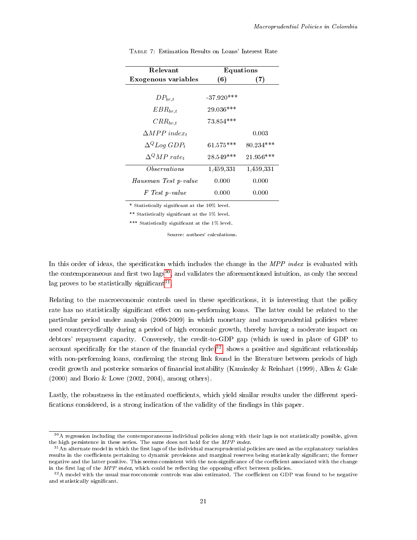| Relevant                           | Equations    |             |  |
|------------------------------------|--------------|-------------|--|
| Exogenous variables                | (6)          | (7)         |  |
|                                    |              |             |  |
| $DP_{br,t}$                        | $-37.920***$ |             |  |
| $EBR_{br,t}$                       | 29.036***    |             |  |
| $CRR_{br,t}$                       | 73.854 ***   |             |  |
| $\triangle MPP$ index <sub>t</sub> |              | 0.003       |  |
| $\Delta^{Q} Log GDP_t$             | $61.575***$  | $80.234***$ |  |
| $\Delta^Q M P$ rate <sub>t</sub>   | 28.549 ***   | $21.956***$ |  |
| Observations                       | 1,459,331    | 1,459,331   |  |
| Hausman Test p-value               | 0.000        | 0.000       |  |
| F Test p-value                     | 0.000        | 0.000       |  |

<span id="page-20-0"></span>Table 7: Estimation Results on Loans' Interest Rate

\*\* Statistically signicant at the 5% level.

\*\*\* Statistically significant at the 1% level.

Source: authors' calculations.

In this order of ideas, the specification which includes the change in the MPP index is evaluated with the contemporaneous and first two lags<sup>[30](#page-0-0)</sup>, and validates the aforementioned intuition, as only the second lag proves to be statistically significant $^{31}$  $^{31}$  $^{31}$ .

Relating to the macroeconomic controls used in these specifications, it is interesting that the policy rate has no statistically significant effect on non-performing loans. The latter could be related to the particular period under analysis (2006-2009) in which monetary and macroprudential policies where used countercyclically during a period of high economic growth, thereby having a moderate impact on debtors' repayment capacity. Conversely, the credit-to-GDP gap (which is used in place of GDP to account specifically for the stance of the financial cycle)<sup>[32](#page-0-0)</sup>, shows a positive and significant relationship with non-performing loans, confirming the strong link found in the literature between periods of high credit growth and posterior scenarios of nancial instability (Kaminsky & Reinhart (1999), Allen & Gale (2000) and Borio & Lowe (2002, 2004), among others).

Lastly, the robustness in the estimated coefficients, which yield similar results under the different specifications considered, is a strong indication of the validity of the findings in this paper.

<sup>&</sup>lt;sup>30</sup>A regression including the contemporaneous individual policies along with their lags is not statistically possible, given the high persistence in these series. The same does not hold for the MPP index.

 $31$ An alternate model in which the first lags of the individual macroprudential policies are used as the explanatory variables results in the coefficients pertaining to dynamic provisions and marginal reserves being statistically significant; the former negative and the latter positive. This seems consistent with the non-significance of the coefficient associated with the change in the first lag of the  $MPP$  index, which could be reflecting the opposing effect between policies.

 $32A$  model with the usual macroeconomic controls was also estimated. The coefficient on GDP was found to be negative and statistically significant.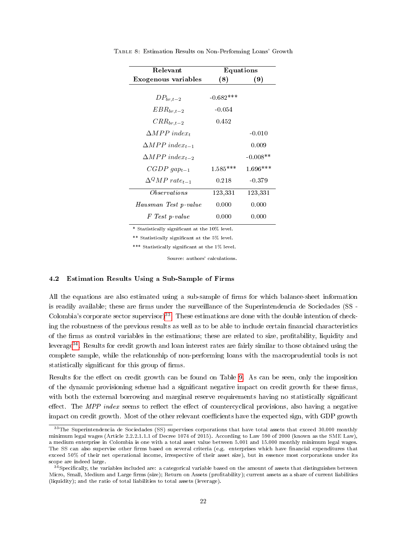| Relevant                             | Equations   |            |  |
|--------------------------------------|-------------|------------|--|
| Exogenous variables                  | (8)         | (9)        |  |
|                                      |             |            |  |
| $DP_{br,t-2}$                        | $-0.682***$ |            |  |
| $EBR_{br,t-2}$                       | $-0.054$    |            |  |
| $CRR_{br,t-2}$                       | 0.452       |            |  |
| $\triangle MPP$ index <sub>t</sub>   |             | $-0.010$   |  |
| $\triangle MPP$ index <sub>t-1</sub> |             | 0.009      |  |
| $\triangle MPP$ index <sub>t-2</sub> |             | $-0.008**$ |  |
| $CGDP \, gap_{t-1}$                  | $1.585***$  | $1.696***$ |  |
| $\Lambda^Q M P$ rate <sub>t-1</sub>  | 0.218       | $-0.379$   |  |
| <i>Observations</i>                  | 123,331     | 123,331    |  |
| Hausman Test p-value                 | 0.000       | 0.000      |  |
| F Test p-value                       | 0.000       | 0.000      |  |

Table 8: Estimation Results on Non-Performing Loans' Growth

\*\* Statistically signicant at the 5% level.

\*\*\* Statistically significant at the 1% level.

Source: authors' calculations.

#### 4.2 Estimation Results Using a Sub-Sample of Firms

All the equations are also estimated using a sub-sample of firms for which balance-sheet information is readily available; these are firms under the surveillance of the Superintendencia de Sociedades (SS -Colombia's corporate sector supervisor)<sup>[33](#page-0-0)</sup>. These estimations are done with the double intention of checking the robustness of the previous results as well as to be able to include certain financial characteristics of the rms as control variables in the estimations; these are related to size, protability, liquidity and leverage[34](#page-0-0). Results for credit growth and loan interest rates are fairly similar to those obtained using the complete sample, while the relationship of non-performing loans with the macroprudential tools is not statistically significant for this group of firms.

Results for the effect on credit growth can be found on Table [9.](#page-22-0) As can be seen, only the imposition of the dynamic provisioning scheme had a significant negative impact on credit growth for these firms, with both the external borrowing and marginal reserve requirements having no statistically significant effect. The MPP index seems to reflect the effect of countercyclical provisions, also having a negative impact on credit growth. Most of the other relevant coefficients have the expected sign, with GDP growth

<sup>&</sup>lt;sup>33</sup>The Superintendencia de Sociedades (SS) supervises corporations that have total assets that exceed 30.000 monthly minimum legal wages (Article 2.2.2.1.1.1 of Decree 1074 of 2015). According to Law 590 of 2000 (known as the SME Law), a medium enterprise in Colombia is one with a total asset value between 5.001 and 15.000 monthly minimum legal wages. The SS can also supervise other firms based on several criteria (e.g. enterprises which have financial expenditures that exceed 50% of their net operational income, irrespective of their asset size), but in essence most corporations under its scope are indeed large.

<sup>&</sup>lt;sup>4</sup>Specifically, the variables included are: a categorical variable based on the amount of assets that distinguishes between Micro, Small, Medium and Large firms (size); Return on Assets (profitability); current assets as a share of current liabilities (liquidity); and the ratio of total liabilities to total assets (leverage).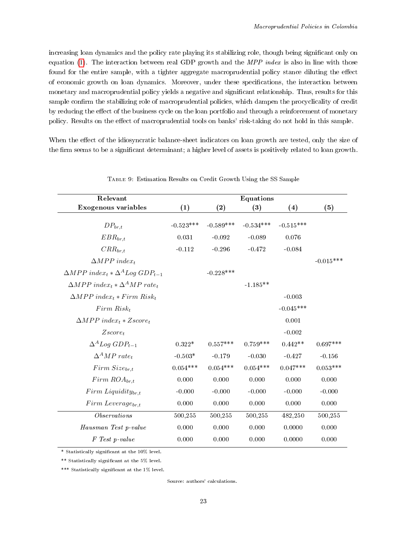increasing loan dynamics and the policy rate playing its stabilizing role, though being significant only on equation [\(1\)](#page-15-0). The interaction between real GDP growth and the  $MPP$  index is also in line with those found for the entire sample, with a tighter aggregate macroprudential policy stance diluting the effect of economic growth on loan dynamics. Moreover, under these specifications, the interaction between monetary and macroprudential policy yields a negative and significant relationship. Thus, results for this sample confirm the stabilizing role of macroprudential policies, which dampen the procyclicality of credit by reducing the effect of the business cycle on the loan portfolio and through a reinforcement of monetary policy. Results on the effect of macroprudential tools on banks' risk-taking do not hold in this sample.

When the effect of the idiosyncratic balance-sheet indicators on loan growth are tested, only the size of the firm seems to be a significant determinant; a higher level of assets is positively related to loan growth.

<span id="page-22-0"></span>

| Relevant                                                                        |             |             | Equations   |                   |             |
|---------------------------------------------------------------------------------|-------------|-------------|-------------|-------------------|-------------|
| Exogenous variables                                                             | (1)         | (2)         | (3)         | $\left( 4\right)$ | (5)         |
| $DP_{br,t}$                                                                     | $-0.523***$ | $-0.589***$ | $-0.534***$ | $-0.515***$       |             |
| $EBR_{br,t}$                                                                    | 0.031       | $-0.092$    | $-0.089$    | 0.076             |             |
| $CRR_{br,t}$                                                                    | $-0.112$    | $-0.296$    | $-0.472$    | $-0.084$          |             |
| $\triangle MPP$ index <sub>t</sub>                                              |             |             |             |                   | $-0.015***$ |
| $\triangle MPP$ index <sub>t</sub> $\star \triangle^{A}$ Log GDP <sub>t-1</sub> |             | $-0.228***$ |             |                   |             |
| $\triangle MPP$ index <sub>t</sub> * $\Delta^A MP$ rate <sub>t</sub>            |             |             | $-1.185**$  |                   |             |
| $\triangle MPP$ index <sub>t</sub> * Firm Risk <sub>t</sub>                     |             |             |             | $-0.003$          |             |
| $Firm Risk_t$                                                                   |             |             |             | $-0.045***$       |             |
| $\triangle MPP$ index <sub>t</sub> * Zscore <sub>t</sub>                        |             |             |             | 0.001             |             |
| $Zscore_t$                                                                      |             |             |             | $-0.002$          |             |
| $\Delta^A Log GDP_{t-1}$                                                        | $0.322*$    | $0.557***$  | $0.759***$  | $0.442**$         | $0.697***$  |
| $\Delta^A MP$ rate <sub>t</sub>                                                 | $-0.503*$   | $-0.179$    | $-0.030$    | $-0.427$          | $-0.156$    |
| $Firm\,Size_{br.t}$                                                             | $0.054***$  | $0.054***$  | $0.054***$  | $0.047***$        | $0.053***$  |
| $Firm~ROA_{br.t}$                                                               | 0.000       | 0.000       | 0.000       | 0.000             | 0.000       |
| $Firm~Liquidity_{br. t}$                                                        | $-0.000$    | $-0.000$    | $-0.000$    | $-0.000$          | $-0.000$    |
| $Firm \text{ } Leverage_{br,t}$                                                 | 0.000       | 0.000       | 0.000       | 0.000             | 0.000       |
| Observations                                                                    | 500,255     | 500,255     | 500,255     | 482,250           | 500,255     |
| Hausman Test p-value                                                            | 0.000       | 0.000       | 0.000       | 0.0000            | 0.000       |
| F Test p-value                                                                  | 0.000       | 0.000       | 0.000       | 0.0000            | 0.000       |

Table 9: Estimation Results on Credit Growth Using the SS Sample

\* Statistically signicant at the 10% level.

\*\* Statistically signicant at the 5% level.

\*\*\* Statistically significant at the 1% level.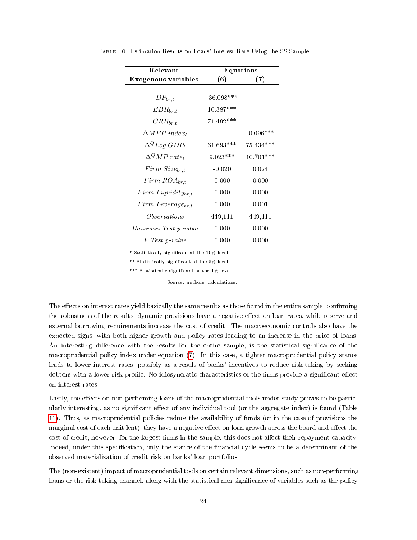| Relevant                        | Equations    |             |
|---------------------------------|--------------|-------------|
| Exogenous variables             | (6)          | (7)         |
|                                 |              |             |
| $DP_{br,t}$                     | $-36.098***$ |             |
| $EBR_{br,t}$                    | 10.387***    |             |
| $CRR_{br,t}$                    | $71.492***$  |             |
| $\triangle MPP$ index.          |              | $-0.096***$ |
| $\Delta^{Q} Log GDP_t$          | $61.693***$  | 75.434***   |
| $\Delta^Q MP$ rate <sub>t</sub> | $9.023***$   | $10.701***$ |
| $Firm\,Size_{br.t}$             | $-0.020$     | 0.024       |
| $Firm~ROA_{br.t}$               | 0.000        | 0.000       |
| $Firm~Liquidity_{br,t}$         | 0.000        | 0.000       |
| $Firm \text{ } Leverage_{br,t}$ | 0.000        | 0.001       |
| <i>Observations</i>             | 449,111      | 449,111     |
| Hausman Test p-value            | 0.000        | 0.000       |
| F Test p-value                  | 0.000        | 0.000       |

Table 10: Estimation Results on Loans' Interest Rate Using the SS Sample

\*\* Statistically signicant at the 5% level.

\*\*\* Statistically significant at the 1% level.

Source: authors' calculations.

The effects on interest rates yield basically the same results as those found in the entire sample, confirming the robustness of the results; dynamic provisions have a negative effect on loan rates, while reserve and external borrowing requirements increase the cost of credit. The macroeconomic controls also have the expected signs, with both higher growth and policy rates leading to an increase in the price of loans. An interesting difference with the results for the entire sample, is the statistical significance of the macroprudential policy index under equation [\(7\)](#page-16-3). In this case, a tighter macroprudential policy stance leads to lower interest rates, possibly as a result of banks' incentives to reduce risk-taking by seeking debtors with a lower risk profile. No idiosyncratic characteristics of the firms provide a significant effect on interest rates.

Lastly, the effects on non-performing loans of the macroprudential tools under study proves to be particularly interesting, as no significant effect of any individual tool (or the aggregate index) is found (Table [11\)](#page-24-0). Thus, as macroprudential policies reduce the availability of funds (or in the case of provisions the marginal cost of each unit lent), they have a negative effect on loan growth across the board and affect the cost of credit; however, for the largest firms in the sample, this does not affect their repayment capacity. Indeed, under this specification, only the stance of the financial cycle seems to be a determinant of the observed materialization of credit risk on banks' loan portfolios.

The (non-existent) impact of macroprudential tools on certain relevant dimensions, such as non-performing loans or the risk-taking channel, along with the statistical non-significance of variables such as the policy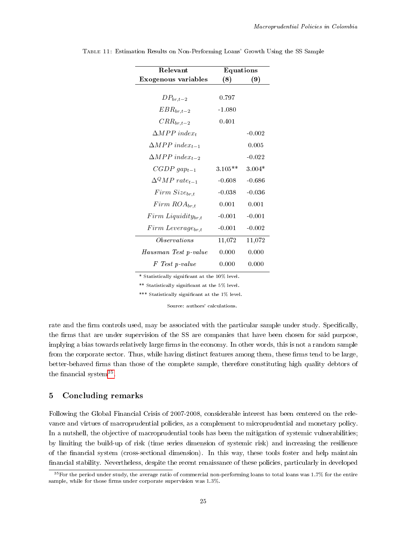| Relevant                             | Equations |          |
|--------------------------------------|-----------|----------|
| Exogenous variables                  | (8)       | (9)      |
|                                      |           |          |
| $DP_{br,t-2}$                        | 0.797     |          |
| $EBR_{br,t-2}$                       | $-1.080$  |          |
| $CRR_{br,t-2}$                       | 0.401     |          |
| $\triangle MPP$ index <sub>t</sub>   |           | $-0.002$ |
| $\triangle MPP$ index <sub>t-1</sub> |           | 0.005    |
| $\triangle MPP$ index <sub>t-2</sub> |           | $-0.022$ |
| $CGDP \, gap_{t-1}$                  | $3.105**$ | $3.004*$ |
| $\Lambda^Q M P$ rate <sub>t-1</sub>  | -0.608    | $-0.686$ |
| $Firm\ Size_{br,t}$                  | $-0.038$  | $-0.036$ |
| $Firm\,ROA_{br,t}$                   | 0.001     | 0.001    |
| $Firm~Liquidity_{br,t}$              | $-0.001$  | $-0.001$ |
| $Firm \text{ } Leverage_{br,t}$      | $-0.001$  | $-0.002$ |
| Observations                         | 11,072    | 11,072   |
| Hausman Test p-value                 | 0.000     | 0.000    |
| F Test p-value                       | 0.000     | 0.000    |

<span id="page-24-0"></span>Table 11: Estimation Results on Non-Performing Loans' Growth Using the SS Sample

\*\* Statistically signicant at the 5% level.

\*\*\* Statistically signicant at the 1% level.

Source: authors' calculations.

rate and the firm controls used, may be associated with the particular sample under study. Specifically, the firms that are under supervision of the SS are companies that have been chosen for said purpose, implying a bias towards relatively large firms in the economy. In other words, this is not a random sample from the corporate sector. Thus, while having distinct features among them, these firms tend to be large, better-behaved firms than those of the complete sample, therefore constituting high quality debtors of the financial system<sup>[35](#page-0-0)</sup>.

## 5 Concluding remarks

Following the Global Financial Crisis of 2007-2008, considerable interest has been centered on the relevance and virtues of macroprudential policies, as a complement to microprudential and monetary policy. In a nutshell, the objective of macroprudential tools has been the mitigation of systemic vulnerabilities; by limiting the build-up of risk (time series dimension of systemic risk) and increasing the resilience of the nancial system (cross-sectional dimension). In this way, these tools foster and help maintain financial stability. Nevertheless, despite the recent renaissance of these policies, particularly in developed

 $35$  For the period under study, the average ratio of commercial non-performing loans to total loans was 1.7% for the entire sample, while for those firms under corporate supervision was  $1.3\%$ .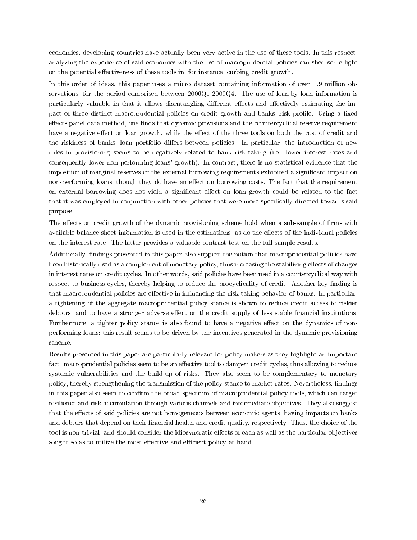economies, developing countries have actually been very active in the use of these tools. In this respect, analyzing the experience of said economies with the use of macroprudential policies can shed some light on the potential effectiveness of these tools in, for instance, curbing credit growth.

In this order of ideas, this paper uses a micro dataset containing information of over 1.9 million observations, for the period comprised between 2006Q1-2009Q4. The use of loan-by-loan information is particularly valuable in that it allows disentangling different effects and effectively estimating the impact of three distinct macroprudential policies on credit growth and banks' risk profile. Using a fixed effects panel data method, one finds that dynamic provisions and the countercyclical reserve requirement have a negative effect on loan growth, while the effect of the three tools on both the cost of credit and the riskiness of banks' loan portfolio differs between policies. In particular, the introduction of new rules in provisioning seems to be negatively related to bank risk-taking (i.e. lower interest rates and consequently lower non-performing loans' growth). In contrast, there is no statistical evidence that the imposition of marginal reserves or the external borrowing requirements exhibited a significant impact on non-performing loans, though they do have an effect on borrowing costs. The fact that the requirement on external borrowing does not yield a significant effect on loan growth could be related to the fact that it was employed in conjunction with other policies that were more specifically directed towards said purpose.

The effects on credit growth of the dynamic provisioning scheme hold when a sub-sample of firms with available balance-sheet information is used in the estimations, as do the effects of the individual policies on the interest rate. The latter provides a valuable contrast test on the full sample results.

Additionally, findings presented in this paper also support the notion that macroprudential policies have been historically used as a complement of monetary policy, thus increasing the stabilizing effects of changes in interest rates on credit cycles. In other words, said policies have been used in a countercyclical way with respect to business cycles, thereby helping to reduce the procyclicality of credit. Another key finding is that macroprudential policies are effective in influencing the risk-taking behavior of banks. In particular, a tightening of the aggregate macroprudential policy stance is shown to reduce credit access to riskier debtors, and to have a stronger adverse effect on the credit supply of less stable financial institutions. Furthermore, a tighter policy stance is also found to have a negative effect on the dynamics of nonperforming loans; this result seems to be driven by the incentives generated in the dynamic provisioning scheme.

Results presented in this paper are particularly relevant for policy makers as they highlight an important fact; macroprudential policies seem to be an effective tool to dampen credit cycles, thus allowing to reduce systemic vulnerabilities and the build-up of risks. They also seem to be complementary to monetary policy, thereby strengthening the transmission of the policy stance to market rates. Nevertheless, findings in this paper also seem to confirm the broad spectrum of macroprudential policy tools, which can target resilience and risk accumulation through various channels and intermediate objectives. They also suggest that the effects of said policies are not homogeneous between economic agents, having impacts on banks and debtors that depend on their financial health and credit quality, respectively. Thus, the choice of the tool is non-trivial, and should consider the idiosyncratic effects of each as well as the particular objectives sought so as to utilize the most effective and efficient policy at hand.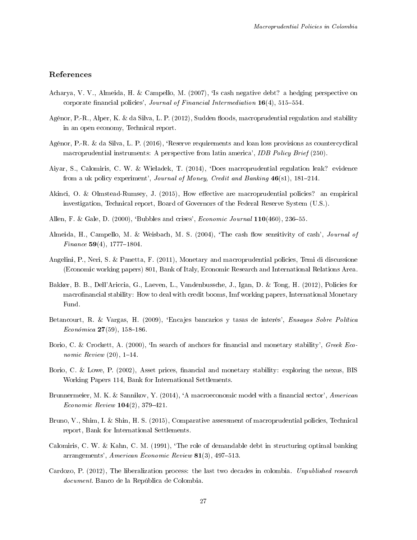## References

- Acharya, V. V., Almeida, H. & Campello, M. (2007), `Is cash negative debt? a hedging perspective on corporate financial policies', Journal of Financial Intermediation  $16(4)$ , 515-554.
- Agénor, P.-R., Alper, K. & da Silva, L. P. (2012), Sudden floods, macroprudential regulation and stability in an open economy, Technical report.
- Agénor, P.-R. & da Silva, L. P. (2016), `Reserve requirements and loan loss provisions as countercyclical macroprudential instruments: A perspective from latin america', IDB Policy Brief (250).
- Aiyar, S., Calomiris, C. W. & Wieladek, T. (2014), `Does macroprudential regulation leak? evidence from a uk policy experiment', Journal of Money, Credit and Banking  $46(s1)$ , 181-214.
- Akinci, O. & Olmstead-Rumsey, J. (2015), How effective are macroprudential policies? an empirical investigation, Technical report, Board of Governors of the Federal Reserve System (U.S.).
- Allen, F. & Gale, D.  $(2000)$ , 'Bubbles and crises', *Economic Journal* 110 $(460)$ , 236–55.
- Almeida, H., Campello, M. & Weisbach, M. S. (2004), 'The cash flow sensitivity of cash', *Journal of* Finance 59(4), 1777–1804.
- Angelini, P., Neri, S. & Panetta, F. (2011), Monetary and macroprudential policies, Temi di discussione (Economic working papers) 801, Bank of Italy, Economic Research and International Relations Area.
- Bakker, B. B., Dell'Ariccia, G., Laeven, L., Vandenbussche, J., Igan, D. & Tong, H. (2012), Policies for macrofinancial stability: How to deal with credit booms, Imf working papers, International Monetary Fund.
- Betancourt, R. & Vargas, H. (2009), 'Encajes bancarios y tasas de interés', Ensayos Sobre Política Económica 27(59), 158-186.
- Borio, C. & Crockett, A. (2000), 'In search of anchors for financial and monetary stability', Greek Economic Review  $(20)$ , 1-14.
- Borio, C. & Lowe, P. (2002), Asset prices, financial and monetary stability: exploring the nexus, BIS Working Papers 114, Bank for International Settlements.
- Brunnermeier, M. K. & Sannikov, Y. (2014), 'A macroeconomic model with a financial sector', American Economic Review  $104(2)$ , 379-421.
- Bruno, V., Shim, I. & Shin, H. S. (2015), Comparative assessment of macroprudential policies, Technical report, Bank for International Settlements.
- Calomiris, C. W. & Kahn, C. M. (1991), `The role of demandable debt in structuring optimal banking arrangements', American Economic Review  $81(3)$ , 497-513.
- Cardozo, P. (2012), The liberalization process: the last two decades in colombia. Unpublished research document. Banco de la República de Colombia.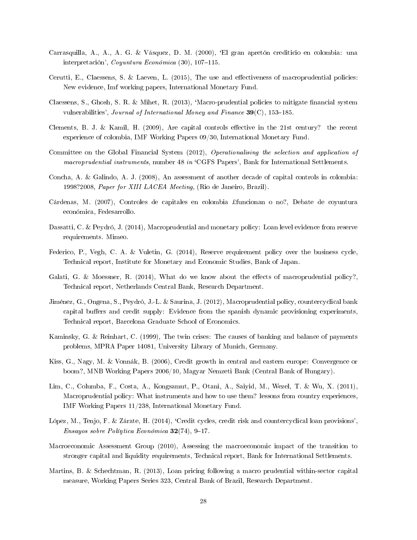- Carrasquilla, A., A., A. G. & Vásquez, D. M. (2000), `El gran apretón crediticio en colombia: una interpretación', Coyuntura Económica (30), 107-115.
- Cerutti, E., Claessens, S. & Laeven, L.  $(2015)$ , The use and effectiveness of macroprudential policies: New evidence, Imf working papers, International Monetary Fund.
- Claessens, S., Ghosh, S. R. & Mihet, R. (2013), 'Macro-prudential policies to mitigate financial system vulnerabilities', Journal of International Money and Finance  $39(C)$ , 153-185.
- Clements, B. J. & Kamil, H. (2009), Are capital controls effective in the 21st century? the recent experience of colombia, IMF Working Papers 09/30, International Monetary Fund.
- Committee on the Global Financial System (2012), Operationalising the selection and application of macroprudential instruments, number 48 in 'CGFS Papers', Bank for International Settlements.
- Concha, A. & Galindo, A. J. (2008), An assessment of another decade of capital controls in colombia: 1998?2008, Paper for XIII LACEA Meeting, (Rio de Janeiro, Brazil).
- Cárdenas, M. (2007), Controles de capitales en colombia ¿funcionan o no?, Debate de coyuntura económica, Fedesarrollo.
- Dassatti, C. & Peydró, J. (2014), Macroprudential and monetary policy: Loan level evidence from reserve requirements. Mimeo.
- Federico, P., Vegh, C. A. & Vuletin, G. (2014), Reserve requirement policy over the business cycle, Technical report, Institute for Monetary and Economic Studies, Bank of Japan.
- Galati, G. & Moessner, R. (2014), What do we know about the effects of macroprudential policy? Technical report, Netherlands Central Bank, Research Department.
- Jiménez, G., Ongena, S., Peydró, J.-L. & Saurina, J. (2012), Macroprudential policy, countercyclical bank capital buffers and credit supply: Evidence from the spanish dynamic provisioning experiments, Technical report, Barcelona Graduate School of Economics.
- Kaminsky, G. & Reinhart, C. (1999), The twin crises: The causes of banking and balance of payments problems, MPRA Paper 14081, University Library of Munich, Germany.
- Kiss, G., Nagy, M. & Vonnák, B. (2006), Credit growth in central and eastern europe: Convergence or boom?, MNB Working Papers 2006/10, Magyar Nemzeti Bank (Central Bank of Hungary).
- Lim, C., Columba, F., Costa, A., Kongsamut, P., Otani, A., Saiyid, M., Wezel, T. & Wu, X. (2011), Macroprudential policy: What instruments and how to use them? lessons from country experiences, IMF Working Papers 11/238, International Monetary Fund.
- López, M., Tenjo, F. & Zárate, H. (2014), `Credit cycles, credit risk and countercyclical loan provisions', Ensayos sobre Políntica Económica  $32(74)$ , 9-17.
- Macroeconomic Assessment Group (2010), Assessing the macroeconomic impact of the transition to stronger capital and liquidity requirements, Technical report, Bank for International Settlements.
- Martins, B. & Schechtman, R. (2013), Loan pricing following a macro prudential within-sector capital measure, Working Papers Series 323, Central Bank of Brazil, Research Department.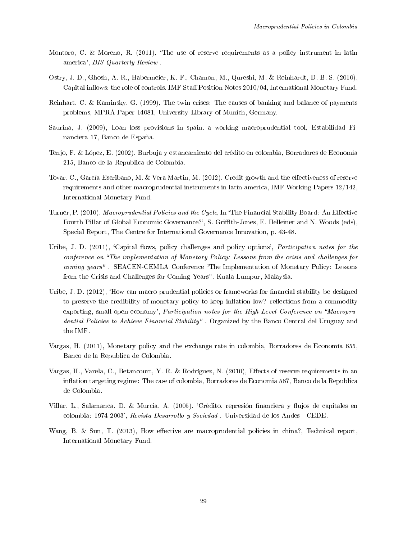- Montoro, C. & Moreno, R. (2011), 'The use of reserve requirements as a policy instrument in latin america', BIS Quarterly Review .
- Ostry, J. D., Ghosh, A. R., Habermeier, K. F., Chamon, M., Qureshi, M. & Reinhardt, D. B. S. (2010), Capital inflows; the role of controls, IMF Staff Position Notes  $2010/04$ , International Monetary Fund.
- Reinhart, C. & Kaminsky, G. (1999), The twin crises: The causes of banking and balance of payments problems, MPRA Paper 14081, University Library of Munich, Germany.
- Saurina, J. (2009), Loan loss provisions in spain. a working macroprudential tool, Estabilidad Financiera 17, Banco de España.
- Tenjo, F. & López, E. (2002), Burbuja y estancamiento del crédito en colombia, Borradores de Economía 215, Banco de la Republica de Colombia.
- Tovar, C., García-Escribano, M. & Vera Martin, M. (2012), Credit growth and the effectiveness of reserve requirements and other macroprudential instruments in latin america, IMF Working Papers 12/142, International Monetary Fund.
- Turner, P. (2010), Macroprudential Policies and the Cycle, In 'The Financial Stability Board: An Effective Fourth Pillar of Global Economic Governance?', S. Grith-Jones, E. Helleiner and N. Woods (eds), Special Report, The Centre for International Governance Innovation, p. 43-48.
- Uribe, J. D. (2011), 'Capital flows, policy challenges and policy options', Participation notes for the conference on "The implementation of Monetary Policy: Lessons from the crisis and challenges for coming years". SEACEN-CEMLA Conference "The Implementation of Monetary Policy: Lessons from the Crisis and Challenges for Coming Years". Kuala Lumpur, Malaysia.
- Uribe, J. D. (2012), 'How can macro-prudential policies or frameworks for financial stability be designed to preserve the credibility of monetary policy to keep inflation low? reflections from a commodity exporting, small open economy', Participation notes for the High Level Conference on "Macroprudential Policies to Achieve Financial Stability". Organized by the Banco Central del Uruguay and the IMF.
- Vargas, H. (2011), Monetary policy and the exchange rate in colombia, Borradores de Economía 655, Banco de la Republica de Colombia.
- Vargas, H., Varela, C., Betancourt, Y. R. & Rodríguez, N. (2010), Effects of reserve requirements in an ination targeting regime: The case of colombia, Borradores de Economia 587, Banco de la Republica de Colombia.
- Villar, L., Salamanca, D. & Murcia, A. (2005), 'Crédito, represión financiera y flujos de capitales en colombia: 1974-2003', Revista Desarrollo y Sociedad . Universidad de los Andes - CEDE.
- Wang, B. & Sun, T. (2013), How effective are macroprudential policies in china?, Technical report, International Monetary Fund.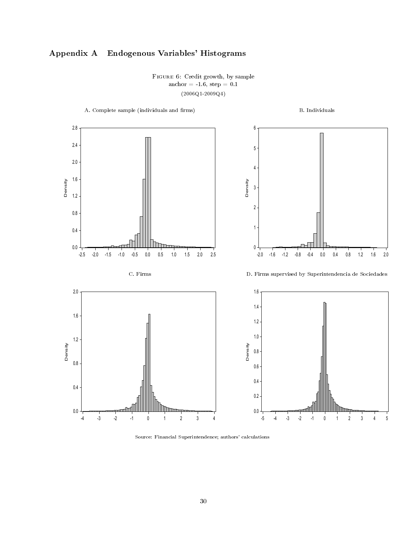# <span id="page-29-0"></span>Appendix A Endogenous Variables' Histograms

Figure 6: Credit growth, by sample anchor =  $-1.6$ , step =  $0.1$  $(2006Q1 - 2009Q4)$ 



Source: Financial Superintendence; authors' calculations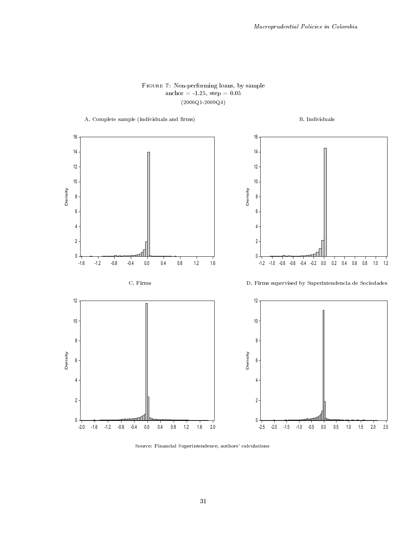## Figure 7: Non-performing loans, by sample anchor = -1.25, step =  $0.05$ (2006Q1-2009Q4)



Source: Financial Superintendence; authors' calculations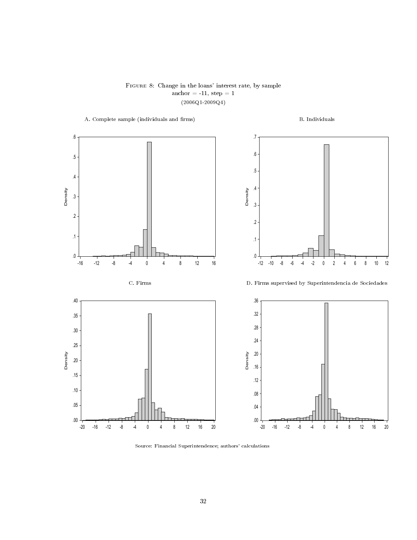Figure 8: Change in the loans' interest rate, by sample  $\text{anchor} = -11, \text{ step} = 1$ (2006Q1-2009Q4)



Source: Financial Superintendence; authors' calculations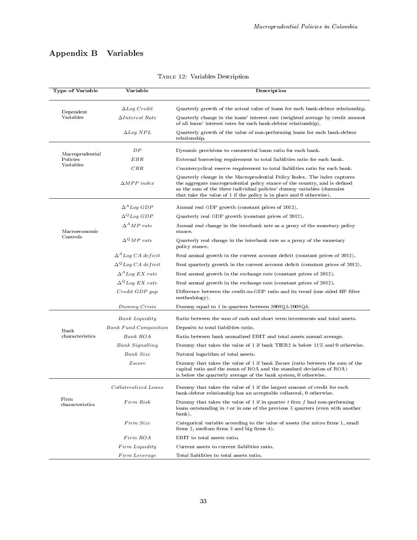# <span id="page-32-0"></span>Appendix B Variables

| <b>Type of Variable</b> | Variable                     | Description                                                                                                                                                                                                                                                                                             |
|-------------------------|------------------------------|---------------------------------------------------------------------------------------------------------------------------------------------------------------------------------------------------------------------------------------------------------------------------------------------------------|
| Dependent               | $\Delta Log$ Credit          | Quarterly growth of the actual value of loans for each bank-debtor relationship.                                                                                                                                                                                                                        |
| Variables               | $\Delta Interset$ Rate       | Quarterly change in the loans' interest rate (weighted average by credit amount<br>of all loans' interest rates for each bank-debtor relationship).                                                                                                                                                     |
|                         | $\Delta Log~NPL$             | Quarterly growth of the value of non-performing loans for each bank-debtor<br>relationship.                                                                                                                                                                                                             |
| Macroprudential         | DP                           | Dynamic provisions to commercial loans ratio for each bank.                                                                                                                                                                                                                                             |
| Policies                | EBR                          | External borrowing requirement to total liabilities ratio for each bank.                                                                                                                                                                                                                                |
| Variables               | CRR                          | Countercyclical reserve requirement to total liabilities ratio for each bank.                                                                                                                                                                                                                           |
|                         | $\triangle MPP$ index        | Quarterly change in the Macroprudential Policy Index. The index captures<br>the aggregate macroprudential policy stance of the country, and is defined<br>as the sum of the three individual policies' dummy variables (dummies<br>that take the value of 1 if the policy is in place and 0 otherwise). |
|                         | $\Delta^A Log GDP$           | Annual real GDP growth (constant prices of 2012).                                                                                                                                                                                                                                                       |
|                         | $\Delta^Q Log\ GDP$          | Quarterly real GDP growth (constant prices of 2012).                                                                                                                                                                                                                                                    |
| Macroeconomic           | $\Delta^A MP$ rate           | Annual real change in the interbank rate as a proxy of the monetary policy<br>st ance.                                                                                                                                                                                                                  |
| Controls                | $\Delta^Q MP$ rate           | Quarterly real change in the interbank rate as a proxy of the monetary<br>policy stance.                                                                                                                                                                                                                |
|                         | $\Delta^A$ Log CA deficit    | Real annual growth in the current account deficit (constant prices of 2012).                                                                                                                                                                                                                            |
|                         | $\Delta^Q$ Log CA deficit    | Real quarterly growth in the current account deficit (constant prices of 2012).                                                                                                                                                                                                                         |
|                         | $\Delta^A$ Log EX rate       | Real annual growth in the exchange rate (constant prices of 2012).                                                                                                                                                                                                                                      |
|                         | $\Delta^Q$ Log EX rate       | Real annual growth in the exchange rate (constant prices of 2012).                                                                                                                                                                                                                                      |
|                         | $Credit$ $GDP$ $gap$         | Difference between the credit-to-GDP ratio and its trend (one sided HP filter<br>methodology).                                                                                                                                                                                                          |
|                         | Dummy Crisis                 | Dummy equal to 1 in quarters between 2008Q3-2009Q4.                                                                                                                                                                                                                                                     |
|                         | <b>Bank</b> Liquidity        | Ratio between the sum of cash and short term investments and total assets.                                                                                                                                                                                                                              |
| Bank                    | <b>Bank Fund Composition</b> | Deposits to total liabilities ratio.                                                                                                                                                                                                                                                                    |
| characteristics         | Bank ROA                     | Ratio between bank annualized EBIT and total assets annual average.                                                                                                                                                                                                                                     |
|                         | <b>Bank Signalling</b>       | Dummy that takes the value of 1 if bank TIER2 is below 11% and 0 otherwise.                                                                                                                                                                                                                             |
|                         | Bank Size                    | Natural logarithm of total assets.                                                                                                                                                                                                                                                                      |
|                         | Zscore                       | Dummy that takes the value of 1 if bank Zscore (ratio between the sum of the<br>capital ratio and the mean of ROA and the standard deviation of ROA)<br>is below the quarterly average of the bank system, 0 otherwise.                                                                                 |
|                         | Collateralized Loans         | Dummy that takes the value of 1 if the largest amount of credit for each<br>bank-debtor relationship has an acceptable collateral, 0 otherwise.                                                                                                                                                         |
| Firm<br>characteristics | Firm Risk                    | Dummy that takes the value of 1 if in quarter $t$ firm $f$ had non-performing<br>loans outstanding in $t$ or in one of the previous 3 quarters (even with another<br>bank).                                                                                                                             |
|                         | Firm Size                    | Categorical variable according to the value of assets (for micro firms 1, small<br>firms 2, medium firms 3 and big firms 4).                                                                                                                                                                            |
|                         | Firm ROA                     | EBIT to total assets ratio.                                                                                                                                                                                                                                                                             |
|                         | Firm Liquidity               | Current assets to current liabilities ratio.                                                                                                                                                                                                                                                            |
|                         | Firm Leverage                | Total liabilities to total assets ratio.                                                                                                                                                                                                                                                                |

## Table 12: Variables Description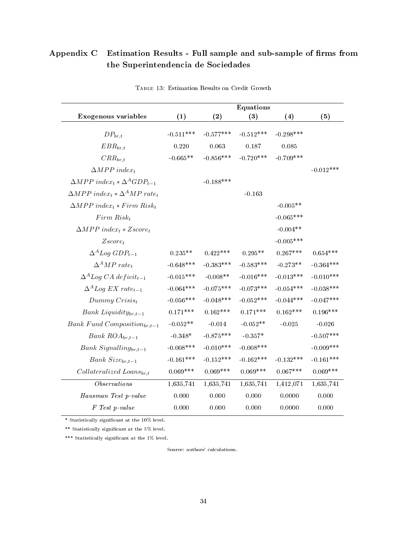# Appendix C Estimation Results - Full sample and sub-sample of firms from the Superintendencia de Sociedades

|                                                                              |             |             | Equations   |             |             |
|------------------------------------------------------------------------------|-------------|-------------|-------------|-------------|-------------|
| Exogenous variables                                                          | (1)         | (2)         | (3)         | (4)         | (5)         |
| $DP_{br,t}$                                                                  | $-0.511***$ | $-0.577***$ | $-0.512***$ | $-0.298***$ |             |
| $EBR_{br,t}$                                                                 | 0.220       | 0.063       | $0.187\,$   | 0.085       |             |
| $CRR_{br,t}$                                                                 | $-0.665**$  | $-0.856***$ | $-0.720***$ | $-0.709***$ |             |
| $\triangle MPP$ index <sub>t</sub>                                           |             |             |             |             | $-0.012***$ |
| $\triangle MPP$ index <sub>t</sub> $\star \triangle ^A GDP_{t-1}$            |             | $-0.188***$ |             |             |             |
| $\triangle MPP$ index <sub>t</sub> $\angle \triangle^A MP$ rate <sub>t</sub> |             |             | $-0.163$    |             |             |
| $\Delta MPP$ index <sub>t</sub> * Firm Risk <sub>t</sub>                     |             |             |             | $-0.005**$  |             |
| $Firm\ Risk_t$                                                               |             |             |             | $-0.065***$ |             |
| $\triangle MPP$ index <sub>t</sub> * Zscore <sub>t</sub>                     |             |             |             | $-0.004**$  |             |
| $Zscore_t$                                                                   |             |             |             | $-0.005***$ |             |
| $\Delta^A Log GDP_{t-1}$                                                     | $0.235**$   | $0.422***$  | $0.295**$   | $0.267***$  | $0.654***$  |
| $\Delta^A MP$ rate <sub>t</sub>                                              | $-0.648***$ | $-0.383***$ | $-0.583***$ | $-0.273**$  | $-0.364***$ |
| $\Delta^A Log CA \; deficit_{t-1}$                                           | $-0.015***$ | $-0.008**$  | $-0.016***$ | $-0.013***$ | $-0.010***$ |
| $\Delta^A Log EX \ rate_{t-1}$                                               | $-0.064***$ | $-0.075***$ | $-0.073***$ | $-0.054***$ | $-0.038***$ |
| $Dummy\,Crisis_t$                                                            | $-0.056***$ | $-0.048***$ | $-0.052***$ | $-0.044***$ | $-0.047***$ |
| $Bank$ $Lightity_{br,t-1}$                                                   | $0.171***$  | $0.162***$  | $0.171***$  | $0.162***$  | $0.196***$  |
| Bank Fund Composition $_{br,t-1}$                                            | $-0.052**$  | $-0.014$    | $-0.052**$  | $-0.025$    | $-0.026$    |
| Bank $ROA_{br,t-1}$                                                          | $-0.348*$   | $-0.875***$ | $-0.357*$   |             | $-0.507***$ |
| $Bank$ Signalling $_{br,t-1}$                                                | $-0.008***$ | $-0.010***$ | $-0.008***$ |             | $-0.009***$ |
| Bank $Size_{br,t-1}$                                                         | $-0.161***$ | $-0.152***$ | $-0.162***$ | $-0.132***$ | $-0.161***$ |
| $Collateralized\; Loans_{br,t}$                                              | $0.069***$  | $0.069***$  | $0.069***$  | $0.067***$  | $0.069***$  |
| Observations                                                                 | 1,635,741   | 1,635,741   | 1,635,741   | 1,412,071   | 1,635,741   |
| Hausman Test p-value                                                         | 0.000       | 0.000       | 0.000       | 0.0000      | 0.000       |
| F Test p-value                                                               | 0.000       | 0.000       | 0.000       | 0.0000      | 0.000       |

Table 13: Estimation Results on Credit Growth

 $*$  Statistically significant at the 10% level.

\*\* Statistically signicant at the 5% level.

\*\*\* Statistically significant at the 1% level.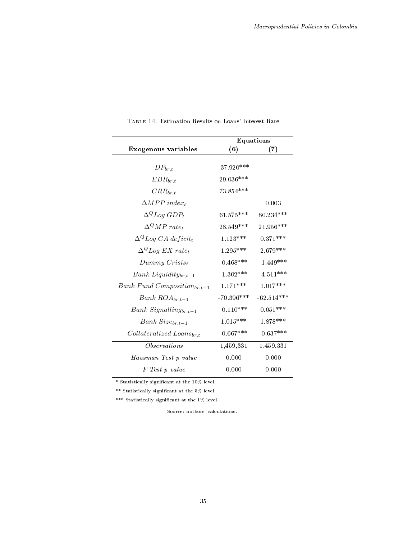|                                    | <b>Equations</b> |              |
|------------------------------------|------------------|--------------|
| Exogenous variables                | (6)              | (7)          |
|                                    |                  |              |
| $DP_{br,t}$                        | $-37.920***$     |              |
| $EBR_{br,t}$                       | 29.036***        |              |
| $CRR_{br.t}$                       | $73.854***$      |              |
| $\triangle MPP$ index <sub>t</sub> |                  | 0.003        |
| $\Delta^Q Log GDP_t$               | $61.575***$      | $80.234***$  |
| $\Delta^Q MP$ rate <sub>t</sub>    | $28.549***$      | $21.956***$  |
| $\Delta^{Q}Log CA\; deficit_t$     | $1.123***$       | $0.371***$   |
| $\Delta^{Q}Log EX \ rate_{t}$      | $1.295***$       | 2.679***     |
| $Dummy\,Crisis_t$                  | $-0.468***$      | $-1.449***$  |
| Bank Liquidity $_{br,t-1}$         | $-1.302***$      | $-4.511***$  |
| Bank Fund Composition $_{br,t-1}$  | $1.171***$       | $1.017***$   |
| Bank $ROA_{br,t-1}$                | $-70.396***$     | $-62.514***$ |
| $Bank$ Signalling $_{br,t-1}$      | $-0.110***$      | $0.051***$   |
| Bank $Size_{br,t-1}$               | $1.015***$       | $1.878***$   |
| $Collateralized\; Loans_{br,t}$    | $-0.667***$      | $-0.637***$  |
| <i>Observations</i>                | 1,459,331        | 1,459,331    |
| Hausman Test p-value               | 0.000            | 0.000        |
| F Test p-value                     | 0.000            | 0.000        |

Table 14: Estimation Results on Loans' Interest Rate

\*\* Statistically signicant at the 5% level.

\*\*\* Statistically significant at the  $1\%$  level.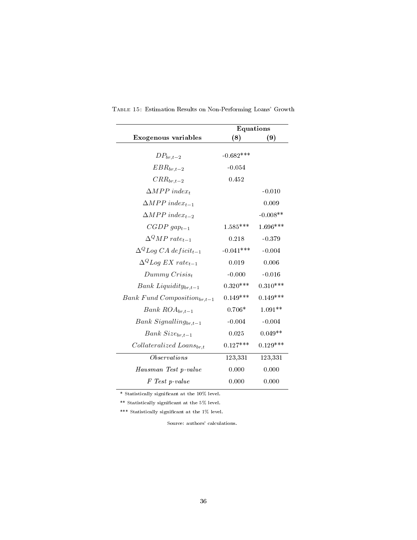|                                         | <b>Equations</b> |            |
|-----------------------------------------|------------------|------------|
| Exogenous variables                     | (8)              | (9)        |
| $DP_{br,t-2}$                           | $-0.682***$      |            |
| $EBR_{br,t-2}$                          | $-0.054$         |            |
| $CRR_{br,t-2}$                          | 0.452            |            |
| $\triangle MPP$ index <sub>t</sub>      |                  | $-0.010$   |
| $\triangle MPP$ index <sub>t-1</sub>    |                  | 0.009      |
| $\triangle MPP$ index <sub>t-2</sub>    |                  | $-0.008**$ |
| $CGDP \, gap_{t-1}$                     | $1.585***$       | $1.696***$ |
| $\Lambda^Q M P$ rate <sub>t-1</sub>     | 0.218            | $-0.379$   |
| $\Delta^{Q} Log CA \; deficit_{t-1}$    | $-0.041***$      | $-0.004$   |
| $\Delta^{Q}$ Log EX rate <sub>t-1</sub> | 0.019            | 0.006      |
| $Dummy\,Crisis_t$                       | $-0.000$         | $-0.016$   |
| $Bank$ Liquidity $_{br,t-1}$            | $0.320***$       | $0.310***$ |
| Bank Fund Composition $_{br,t-1}$       | $0.149***$       | $0.149***$ |
| Bank $ROA_{br,t-1}$                     | $0.706*$         | $1.091**$  |
| Bank Signalling $_{br,t-1}$             | $-0.004$         | $-0.004$   |
| Bank $Size_{br,t-1}$                    | 0.025            | $0.049**$  |
| $Collateralized\; Loans_{br,t}$         | $0.127***$       | $0.129***$ |
| <i>Observations</i>                     | 123,331          | 123,331    |
| Hausman Test p-value                    | 0.000            | 0.000      |
| F Test p-value                          | 0.000            | 0.000      |

Table 15: Estimation Results on Non-Performing Loans' Growth

 $*$  Statistically significant at the 10% level.

 $^{**}$  Statistically significant at the  $5\%$  level.

\*\*\* Statistically signicant at the 1% level.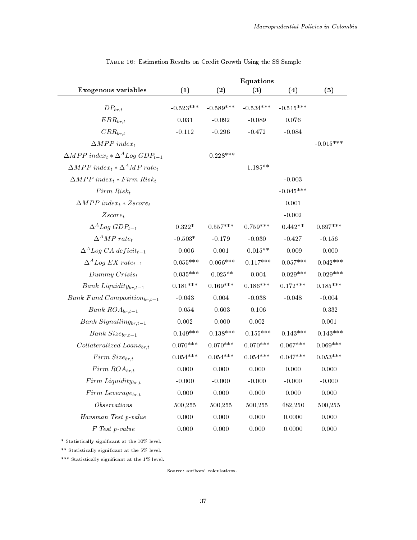|                                                                               |             |             | <b>Equations</b> |             |             |
|-------------------------------------------------------------------------------|-------------|-------------|------------------|-------------|-------------|
| Exogenous variables                                                           | (1)         | (2)         | (3)              | (4)         | (5)         |
| $DP_{br,t}$                                                                   | $-0.523***$ | $-0.589***$ | $-0.534***$      | $-0.515***$ |             |
| $EBR_{br,t}$                                                                  | 0.031       | $-0.092$    | $-0.089$         | 0.076       |             |
| $CRR_{br,t}$                                                                  | $-0.112$    | $-0.296$    | $-0.472$         | $-0.084$    |             |
| $\triangle MPP$ index <sub>t</sub>                                            |             |             |                  |             | $-0.015***$ |
| $\triangle MPP$ index <sub>t</sub> * $\Delta^{A}Log GDP_{t-1}$                |             | $-0.228***$ |                  |             |             |
| $\triangle MPP$ index <sub>t</sub> $\star \triangle^{A} MP$ rate <sub>t</sub> |             |             | $-1.185**$       |             |             |
| $\Delta MPP$ index <sub>t</sub> * Firm Risk <sub>t</sub>                      |             |             |                  | $-0.003$    |             |
| $Firm\ Risk_t$                                                                |             |             |                  | $-0.045***$ |             |
| $\triangle MPP$ index <sub>t</sub> * Zscore <sub>t</sub>                      |             |             |                  | 0.001       |             |
| $Zscore_t$                                                                    |             |             |                  | $-0.002$    |             |
| $\Delta^A Log GDP_{t-1}$                                                      | $0.322*$    | $0.557***$  | $0.759***$       | $0.442**$   | $0.697***$  |
| $\Delta^A MP$ $rate_t$                                                        | $-0.503*$   | $-0.179$    | $-0.030$         | $-0.427$    | $-0.156$    |
| $\Delta^A Log CA \; deficit_{t-1}$                                            | $-0.006$    | 0.001       | $-0.015**$       | $-0.009$    | $-0.000$    |
| $\Delta^A Log EX \ rate_{t-1}$                                                | $-0.055***$ | $-0.066***$ | $-0.117***$      | $-0.057***$ | $-0.042***$ |
| $Dummy\,Crisis_t$                                                             | $-0.035***$ | $-0.025**$  | $-0.004$         | $-0.029***$ | $-0.029***$ |
| Bank Liquidity $_{br,t-1}$                                                    | $0.181***$  | $0.169***$  | $0.186***$       | $0.172***$  | $0.185***$  |
| Bank Fund Composition $_{br,t-1}$                                             | $-0.043$    | 0.004       | $-0.038$         | $-0.048$    | $-0.004$    |
| Bank $ROA_{br,t-1}$                                                           | $-0.054$    | $-0.603$    | $-0.106$         |             | $-0.332$    |
| Bank Signalling $_{br,t-1}$                                                   | 0.002       | $-0.000$    | $0.002\,$        |             | $0.001\,$   |
| Bank $Size_{br,t-1}$                                                          | $-0.149***$ | $-0.138***$ | $-0.155***$      | $-0.143***$ | $-0.143***$ |
| $Collateralized\; Loans_{br,t}$                                               | $0.070***$  | $0.070***$  | $0.070***$       | $0.067***$  | $0.069***$  |
| $Firm\ Size_{br,t}$                                                           | $0.054***$  | $0.054***$  | $0.054***$       | $0.047***$  | $0.053***$  |
| $Firm\,ROA_{br,t}$                                                            | 0.000       | 0.000       | 0.000            | 0.000       | 0.000       |
| $Firm~Liquidity_{br,t}$                                                       | $-0.000$    | $-0.000$    | $-0.000$         | $-0.000$    | $-0.000$    |
| $Firm \text{ } Leverage_{br.t}$                                               | 0.000       | 0.000       | 0.000            | 0.000       | 0.000       |
| Observations                                                                  | 500,255     | 500,255     | 500,255          | 482,250     | 500,255     |
| Hausman Test p-value                                                          | 0.000       | 0.000       | 0.000            | 0.0000      | 0.000       |
| F Test p-value                                                                | 0.000       | 0.000       | 0.000            | 0.0000      | 0.000       |

Table 16: Estimation Results on Credit Growth Using the SS Sample

\* Statistically signicant at the 10% level.

\*\* Statistically signicant at the 5% level.

\*\*\* Statistically significant at the 1% level.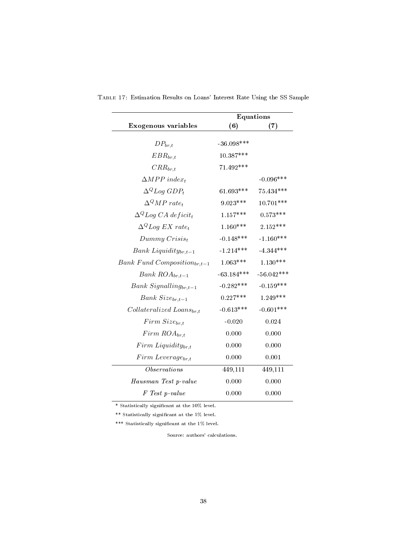|                                              | <b>Equations</b> |              |  |
|----------------------------------------------|------------------|--------------|--|
| Exogenous variables                          | (6)              | (7)          |  |
| $DP_{br,t}$                                  | $-36.098***$     |              |  |
| $EBR_{br,t}$                                 | $10.387***$      |              |  |
| $CRR_{br,t}$                                 | $71.492***$      |              |  |
| $\triangle MPP$ index <sub>t</sub>           |                  | $-0.096***$  |  |
| $\Delta^Q Log GDP_t$                         | $61.693***$      | 75.434***    |  |
| $\Delta^Q MP$ rate <sub>t</sub>              | 9.023***         | $10.701***$  |  |
| $\Delta^{Q}$ Log CA deficit <sub>t</sub>     | $1.157***$       | $0.573***$   |  |
| $\Delta^{Q}$ <i>Log EX</i> rate <sub>t</sub> | $1.160***$       | $2.152***$   |  |
| $Dummy\,Crisis_t$                            | $-0.148***$      | $-1.160***$  |  |
| Bank Liquidity $_{br,t-1}$                   | $-1.214***$      | $-4.344***$  |  |
| Bank Fund Composition $_{br,t-1}$            | $1.063***$       | $1.130***$   |  |
| Bank $ROA_{br,t-1}$                          | $-63.184***$     | $-56.042***$ |  |
| Bank Signalling $_{br,t-1}$                  | $-0.282***$      | $-0.159***$  |  |
| Bank $Size_{br,t-1}$                         | $0.227***$       | $1.249***$   |  |
| $Collateralized\; Loans_{br,t}$              | $-0.613***$      | $-0.601***$  |  |
| $Firm\ Size_{br,t}$                          | $-0.020$         | 0.024        |  |
| $Firm\,ROA_{br,t}$                           | 0.000            | 0.000        |  |
| $Firm~Liquidity_{br,t}$                      | 0.000            | 0.000        |  |
| $Firm \text{ } Leverage_{br,t}$              | 0.000            | 0.001        |  |
| <i>Observations</i>                          | 449,111          | 449,111      |  |
| Hausman Test p-value                         | 0.000            | 0.000        |  |
| F Test p-value                               | 0.000            | 0.000        |  |

Table 17: Estimation Results on Loans' Interest Rate Using the SS Sample

\*\* Statistically signicant at the 5% level.

\*\*\* Statistically significant at the  $1\%$  level.